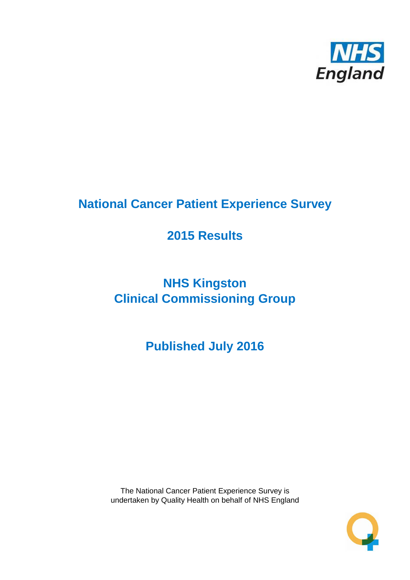

# **National Cancer Patient Experience Survey**

# **2015 Results**

# **NHS Kingston Clinical Commissioning Group**

**Published July 2016**

The National Cancer Patient Experience Survey is undertaken by Quality Health on behalf of NHS England

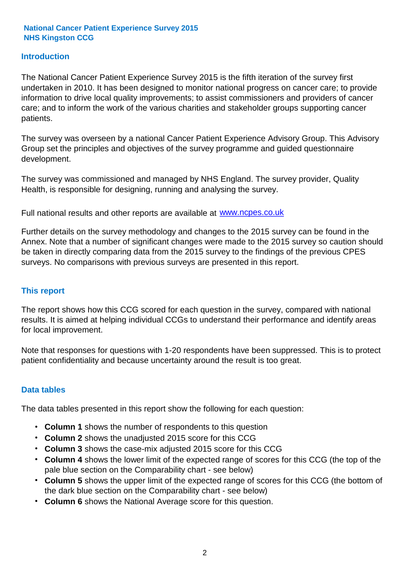#### **Introduction**

The National Cancer Patient Experience Survey 2015 is the fifth iteration of the survey first undertaken in 2010. It has been designed to monitor national progress on cancer care; to provide information to drive local quality improvements; to assist commissioners and providers of cancer care; and to inform the work of the various charities and stakeholder groups supporting cancer patients.

The survey was overseen by a national Cancer Patient Experience Advisory Group. This Advisory Group set the principles and objectives of the survey programme and guided questionnaire development.

The survey was commissioned and managed by NHS England. The survey provider, Quality Health, is responsible for designing, running and analysing the survey.

Full national results and other reports are available at www.ncpes.co.uk

Further details on the survey methodology and changes to the 2015 survey can be found in the Annex. Note that a number of significant changes were made to the 2015 survey so caution should be taken in directly comparing data from the 2015 survey to the findings of the previous CPES surveys. No comparisons with previous surveys are presented in this report.

#### **This report**

The report shows how this CCG scored for each question in the survey, compared with national results. It is aimed at helping individual CCGs to understand their performance and identify areas for local improvement.

Note that responses for questions with 1-20 respondents have been suppressed. This is to protect patient confidentiality and because uncertainty around the result is too great.

#### **Data tables**

The data tables presented in this report show the following for each question:

- **Column 1** shows the number of respondents to this question
- **Column 2** shows the unadjusted 2015 score for this CCG
- **Column 3** shows the case-mix adjusted 2015 score for this CCG
- **Column 4** shows the lower limit of the expected range of scores for this CCG (the top of the pale blue section on the Comparability chart - see below)
- **Column 5** shows the upper limit of the expected range of scores for this CCG (the bottom of the dark blue section on the Comparability chart - see below)
- **Column 6** shows the National Average score for this question.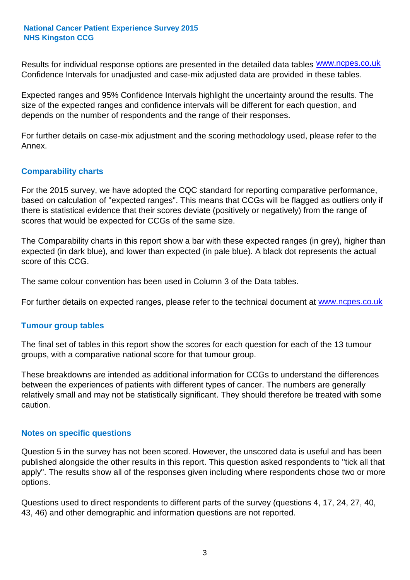Results for individual response options are presented in the detailed data tables **WWW.ncpes.co.uk** Confidence Intervals for unadjusted and case-mix adjusted data are provided in these tables.

Expected ranges and 95% Confidence Intervals highlight the uncertainty around the results. The size of the expected ranges and confidence intervals will be different for each question, and depends on the number of respondents and the range of their responses.

For further details on case-mix adjustment and the scoring methodology used, please refer to the Annex.

#### **Comparability charts**

For the 2015 survey, we have adopted the CQC standard for reporting comparative performance, based on calculation of "expected ranges". This means that CCGs will be flagged as outliers only if there is statistical evidence that their scores deviate (positively or negatively) from the range of scores that would be expected for CCGs of the same size.

The Comparability charts in this report show a bar with these expected ranges (in grey), higher than expected (in dark blue), and lower than expected (in pale blue). A black dot represents the actual score of this CCG.

The same colour convention has been used in Column 3 of the Data tables.

For further details on expected ranges, please refer to the technical document at **www.ncpes.co.uk** 

#### **Tumour group tables**

The final set of tables in this report show the scores for each question for each of the 13 tumour groups, with a comparative national score for that tumour group.

These breakdowns are intended as additional information for CCGs to understand the differences between the experiences of patients with different types of cancer. The numbers are generally relatively small and may not be statistically significant. They should therefore be treated with some caution.

#### **Notes on specific questions**

Question 5 in the survey has not been scored. However, the unscored data is useful and has been published alongside the other results in this report. This question asked respondents to "tick all that apply". The results show all of the responses given including where respondents chose two or more options.

Questions used to direct respondents to different parts of the survey (questions 4, 17, 24, 27, 40, 43, 46) and other demographic and information questions are not reported.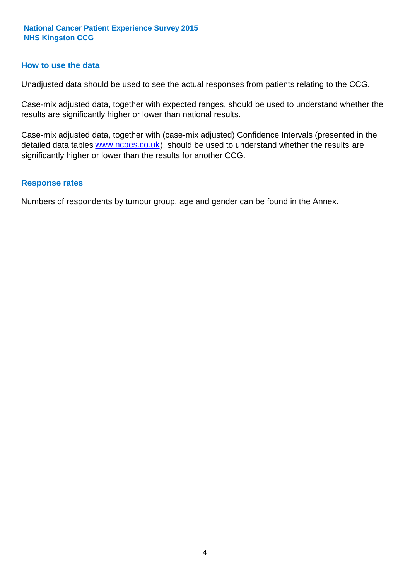#### **How to use the data**

Unadjusted data should be used to see the actual responses from patients relating to the CCG.

Case-mix adjusted data, together with expected ranges, should be used to understand whether the results are significantly higher or lower than national results.

Case-mix adjusted data, together with (case-mix adjusted) Confidence Intervals (presented in the detailed data tables **www.ncpes.co.uk**), should be used to understand whether the results are significantly higher or lower than the results for another CCG.

#### **Response rates**

Numbers of respondents by tumour group, age and gender can be found in the Annex.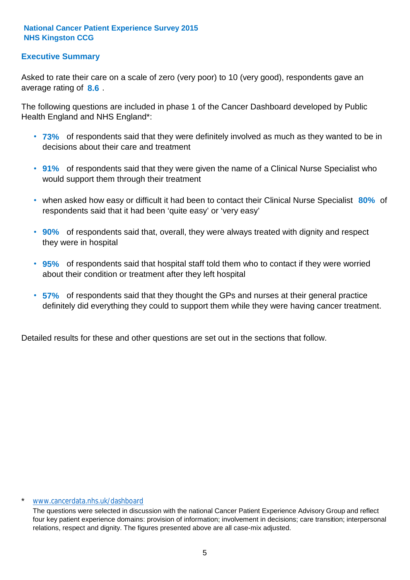#### **Executive Summary**

average rating of 8.6. Asked to rate their care on a scale of zero (very poor) to 10 (very good), respondents gave an

The following questions are included in phase 1 of the Cancer Dashboard developed by Public Health England and NHS England\*:

- **73%** of respondents said that they were definitely involved as much as they wanted to be in decisions about their care and treatment
- **91%** of respondents said that they were given the name of a Clinical Nurse Specialist who would support them through their treatment
- when asked how easy or difficult it had been to contact their Clinical Nurse Specialist 80% of respondents said that it had been 'quite easy' or 'very easy'
- **90%** of respondents said that, overall, they were always treated with dignity and respect they were in hospital
- **95%** of respondents said that hospital staff told them who to contact if they were worried about their condition or treatment after they left hospital
- **57%** of respondents said that they thought the GPs and nurses at their general practice definitely did everything they could to support them while they were having cancer treatment.

Detailed results for these and other questions are set out in the sections that follow.

#### \* www.cancerdata.nhs.uk/dashboard

The questions were selected in discussion with the national Cancer Patient Experience Advisory Group and reflect four key patient experience domains: provision of information; involvement in decisions; care transition; interpersonal relations, respect and dignity. The figures presented above are all case-mix adjusted.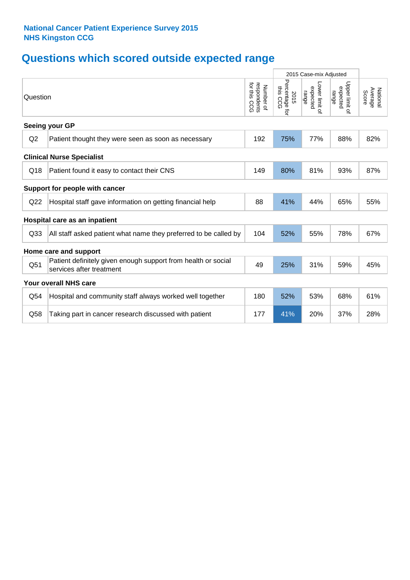# **Questions which scored outside expected range**

|                 |                                                                                           |                                          |                                    | 2015 Case-mix Adjusted              |                                     |                              |
|-----------------|-------------------------------------------------------------------------------------------|------------------------------------------|------------------------------------|-------------------------------------|-------------------------------------|------------------------------|
| Question        |                                                                                           | for this CCG<br>respondents<br>Number of | Percentage for<br>this CCG<br>2015 | Lower limit of<br>expected<br>range | Upper limit of<br>expected<br>range | National<br>Average<br>Score |
|                 | Seeing your GP                                                                            |                                          |                                    |                                     |                                     |                              |
| Q2              | Patient thought they were seen as soon as necessary                                       | 192                                      | 75%                                | 77%                                 | 88%                                 | 82%                          |
|                 | <b>Clinical Nurse Specialist</b>                                                          |                                          |                                    |                                     |                                     |                              |
| Q18             | Patient found it easy to contact their CNS                                                | 149                                      | 80%                                | 81%                                 | 93%                                 | 87%                          |
|                 | Support for people with cancer                                                            |                                          |                                    |                                     |                                     |                              |
| Q22             | Hospital staff gave information on getting financial help                                 | 88                                       | 41%                                | 44%                                 | 65%                                 | 55%                          |
|                 | Hospital care as an inpatient                                                             |                                          |                                    |                                     |                                     |                              |
| Q <sub>33</sub> | All staff asked patient what name they preferred to be called by                          | 104                                      | 52%                                | 55%                                 | 78%                                 | 67%                          |
|                 | Home care and support                                                                     |                                          |                                    |                                     |                                     |                              |
| Q51             | Patient definitely given enough support from health or social<br>services after treatment | 49                                       | 25%                                | 31%                                 | 59%                                 | 45%                          |
|                 | <b>Your overall NHS care</b>                                                              |                                          |                                    |                                     |                                     |                              |
| Q54             | Hospital and community staff always worked well together                                  | 180                                      | 52%                                | 53%                                 | 68%                                 | 61%                          |
| Q58             | Taking part in cancer research discussed with patient                                     | 177                                      | 41%                                | 20%                                 | 37%                                 | 28%                          |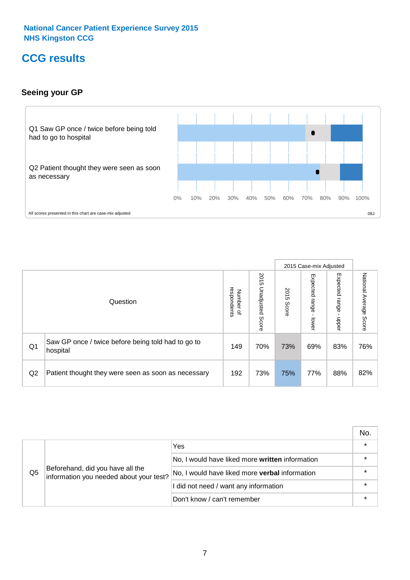### **CCG results**

#### **Seeing your GP**



|                |                                                                |                                              |                             |               | 2015 Case-mix Adjusted     |                            |                        |
|----------------|----------------------------------------------------------------|----------------------------------------------|-----------------------------|---------------|----------------------------|----------------------------|------------------------|
|                | Question                                                       | respondents<br>Number<br>$\overline{\sigma}$ | 2015<br>Unadjusted<br>Score | 2015<br>Score | Expected<br>range<br>lower | Expected<br>range<br>nbber | National Average Score |
| Q <sub>1</sub> | Saw GP once / twice before being told had to go to<br>hospital | 149                                          | 70%                         | 73%           | 69%                        | 83%                        | 76%                    |
| Q2             | Patient thought they were seen as soon as necessary            | 192                                          | 73%                         | 75%           | 77%                        | 88%                        | 82%                    |

|    |                                                                             |                                                       | No.     |
|----|-----------------------------------------------------------------------------|-------------------------------------------------------|---------|
|    | Beforehand, did you have all the<br>information you needed about your test? | Yes                                                   | $\star$ |
|    |                                                                             | No, I would have liked more written information       | $\star$ |
| Q5 |                                                                             | No, I would have liked more <b>verbal</b> information | $\star$ |
|    |                                                                             | I did not need / want any information                 | $\star$ |
|    |                                                                             | Don't know / can't remember                           | $\star$ |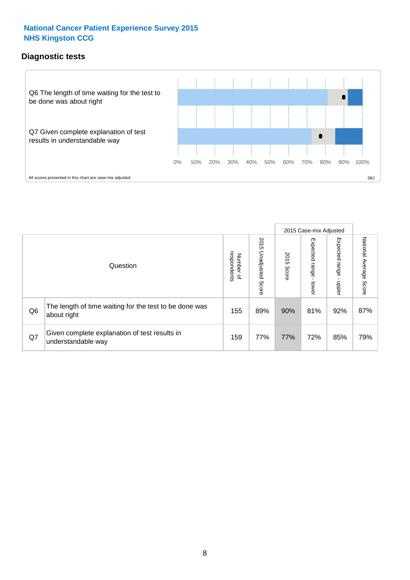#### **Diagnostic tests**



|                |                                                                       |                                   |                             |               | 2015 Case-mix Adjusted  |                         |                           |
|----------------|-----------------------------------------------------------------------|-----------------------------------|-----------------------------|---------------|-------------------------|-------------------------|---------------------------|
|                | Question                                                              | respondents<br>Number<br>$\Omega$ | 2015<br>Unadjusted<br>Score | 2015<br>Score | Expected range<br>lower | Expected range<br>nbber | National Average<br>Score |
| Q <sub>6</sub> | The length of time waiting for the test to be done was<br>about right | 155                               | 89%                         | 90%           | 81%                     | 92%                     | 87%                       |
| Q7             | Given complete explanation of test results in<br>understandable way   | 159                               | 77%                         | 77%           | 72%                     | 85%                     | 79%                       |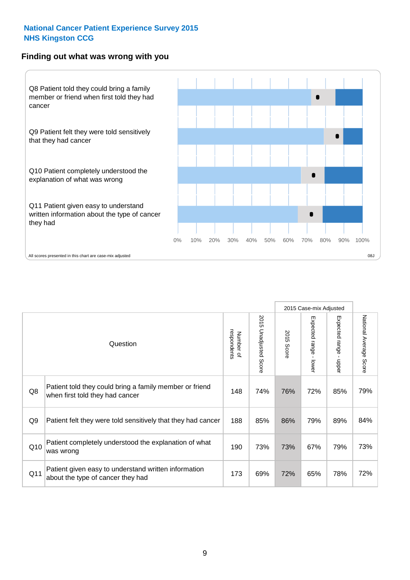#### **Finding out what was wrong with you**



|                |                                                                                            |                          |                                 |               | 2015 Case-mix Adjusted                    |                                         |                        |
|----------------|--------------------------------------------------------------------------------------------|--------------------------|---------------------------------|---------------|-------------------------------------------|-----------------------------------------|------------------------|
|                | Question                                                                                   | respondents<br>Number of | 2015<br><b>Unadjusted Score</b> | 2015<br>Score | Expected range<br>$\blacksquare$<br>lower | Expected range<br>$\mathbf{I}$<br>nbber | National Average Score |
| Q8             | Patient told they could bring a family member or friend<br>when first told they had cancer | 148                      | 74%                             | 76%           | 72%                                       | 85%                                     | 79%                    |
| Q <sub>9</sub> | Patient felt they were told sensitively that they had cancer                               | 188                      | 85%                             | 86%           | 79%                                       | 89%                                     | 84%                    |
| Q10            | Patient completely understood the explanation of what<br>was wrong                         | 190                      | 73%                             | 73%           | 67%                                       | 79%                                     | 73%                    |
| Q11            | Patient given easy to understand written information<br>about the type of cancer they had  | 173                      | 69%                             | 72%           | 65%                                       | 78%                                     | 72%                    |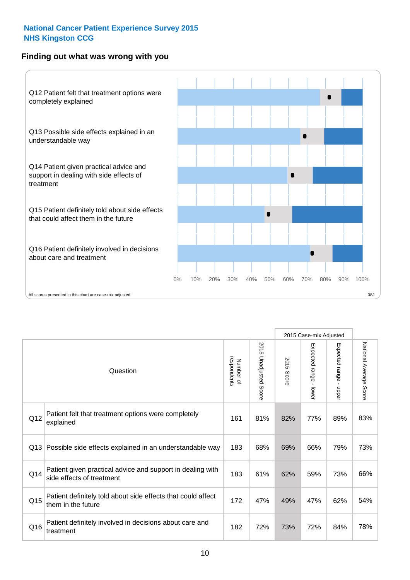#### **Finding out what was wrong with you**



|          |                                                                                         |                          |                                 |               | 2015 Case-mix Adjusted                    |                        |                        |
|----------|-----------------------------------------------------------------------------------------|--------------------------|---------------------------------|---------------|-------------------------------------------|------------------------|------------------------|
| Question |                                                                                         | Number of<br>respondents | 2015<br><b>Unadjusted Score</b> | 2015<br>Score | Expected range<br>$\blacksquare$<br>lower | Expected range - upper | National Average Score |
| Q12      | Patient felt that treatment options were completely<br>explained                        | 161                      | 81%                             | 82%           | 77%                                       | 89%                    | 83%                    |
| Q13      | Possible side effects explained in an understandable way                                | 183                      | 68%                             | 69%           | 66%                                       | 79%                    | 73%                    |
| Q14      | Patient given practical advice and support in dealing with<br>side effects of treatment | 183                      | 61%                             | 62%           | 59%                                       | 73%                    | 66%                    |
| Q15      | Patient definitely told about side effects that could affect<br>them in the future      | 172                      | 47%                             | 49%           | 47%                                       | 62%                    | 54%                    |
| Q16      | Patient definitely involved in decisions about care and<br>treatment                    | 182                      | 72%                             | 73%           | 72%                                       | 84%                    | 78%                    |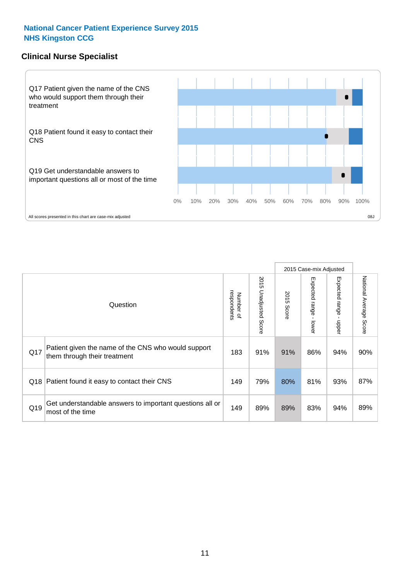#### **Clinical Nurse Specialist**



|     |                                                                                     |                          |                       | 2015 Case-mix Adjusted |                         |                              |                        |
|-----|-------------------------------------------------------------------------------------|--------------------------|-----------------------|------------------------|-------------------------|------------------------------|------------------------|
|     | Question                                                                            | respondents<br>Number of | 2015 Unadjusted Score | 2015<br>Score          | Expected range<br>lower | Expected<br>l range<br>nbber | National Average Score |
| Q17 | Patient given the name of the CNS who would support<br>them through their treatment | 183                      | 91%                   | 91%                    | 86%                     | 94%                          | 90%                    |
| Q18 | Patient found it easy to contact their CNS                                          | 149                      | 79%                   | 80%                    | 81%                     | 93%                          | 87%                    |
| Q19 | Get understandable answers to important questions all or<br>most of the time        | 149                      | 89%                   | 89%                    | 83%                     | 94%                          | 89%                    |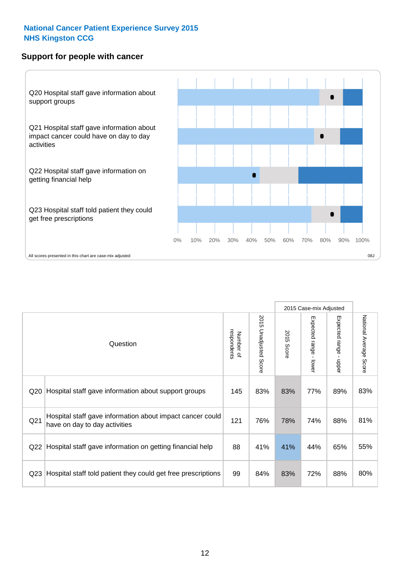#### **Support for people with cancer**



|                 |                                                                                            |                          |                                 |               | 2015 Case-mix Adjusted  |                                         |                        |
|-----------------|--------------------------------------------------------------------------------------------|--------------------------|---------------------------------|---------------|-------------------------|-----------------------------------------|------------------------|
|                 | Question                                                                                   | respondents<br>Number of | 2015<br><b>Unadjusted Score</b> | 2015<br>Score | Expected range<br>lower | Expected range<br>$\mathbf{I}$<br>nbber | National Average Score |
| Q <sub>20</sub> | Hospital staff gave information about support groups                                       | 145                      | 83%                             | 83%           | 77%                     | 89%                                     | 83%                    |
| Q <sub>21</sub> | Hospital staff gave information about impact cancer could<br>have on day to day activities | 121                      | 76%                             | 78%           | 74%                     | 88%                                     | 81%                    |
| Q22             | Hospital staff gave information on getting financial help                                  | 88                       | 41%                             | 41%           | 44%                     | 65%                                     | 55%                    |
| Q <sub>23</sub> | Hospital staff told patient they could get free prescriptions                              | 99                       | 84%                             | 83%           | 72%                     | 88%                                     | 80%                    |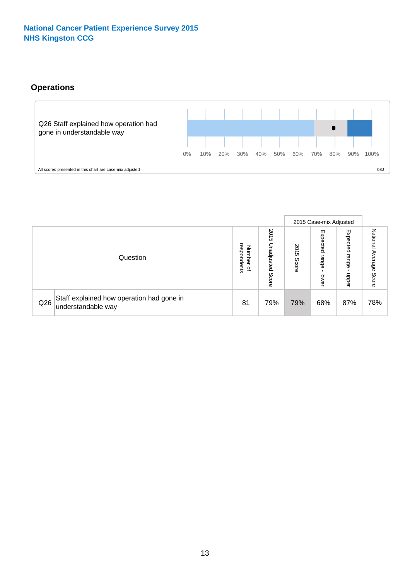#### **Operations**



|     |                                                                 |                                         |                             | 2015 Case-mix Adjusted |                            |                           |                              |
|-----|-----------------------------------------------------------------|-----------------------------------------|-----------------------------|------------------------|----------------------------|---------------------------|------------------------------|
|     | Question                                                        | respondents<br>Number<br>$\overline{a}$ | 2015<br>Unadjusted<br>Score | 2015<br>Score          | Expected<br>range<br>lower | Expected<br>range<br>ddoe | National<br>Average<br>Score |
| Q26 | Staff explained how operation had gone in<br>understandable way | 81                                      | 79%                         | 79%                    | 68%                        | 87%                       | 78%                          |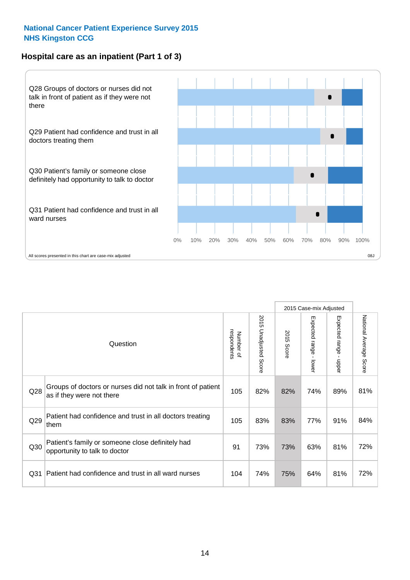#### **Hospital care as an inpatient (Part 1 of 3)**



All scores presented in this chart are case-mix adjusted (38J) (38J) (38J) (38J) (39J) (39J) (39J) (39J) (39J) (39J) (39J) (39J) (39J) (39J) (39J) (39J) (39J) (39J) (39J) (39J) (39J) (39J) (39J) (39J) (39J) (39J) (39J) (39

|                 |                                                                                           |                          |                       |                      | 2015 Case-mix Adjusted                    |                                         |                        |
|-----------------|-------------------------------------------------------------------------------------------|--------------------------|-----------------------|----------------------|-------------------------------------------|-----------------------------------------|------------------------|
|                 | Question                                                                                  | respondents<br>Number of | 2015 Unadjusted Score | 2015<br><b>Score</b> | Expected range<br>$\blacksquare$<br>lower | Expected range<br>$\mathbf{I}$<br>nbber | National Average Score |
| Q28             | Groups of doctors or nurses did not talk in front of patient<br>as if they were not there | 105                      | 82%                   | 82%                  | 74%                                       | 89%                                     | 81%                    |
| Q29             | Patient had confidence and trust in all doctors treating<br>them                          | 105                      | 83%                   | 83%                  | 77%                                       | 91%                                     | 84%                    |
| Q30             | Patient's family or someone close definitely had<br>opportunity to talk to doctor         | 91                       | 73%                   | 73%                  | 63%                                       | 81%                                     | 72%                    |
| Q <sub>31</sub> | Patient had confidence and trust in all ward nurses                                       | 104                      | 74%                   | 75%                  | 64%                                       | 81%                                     | 72%                    |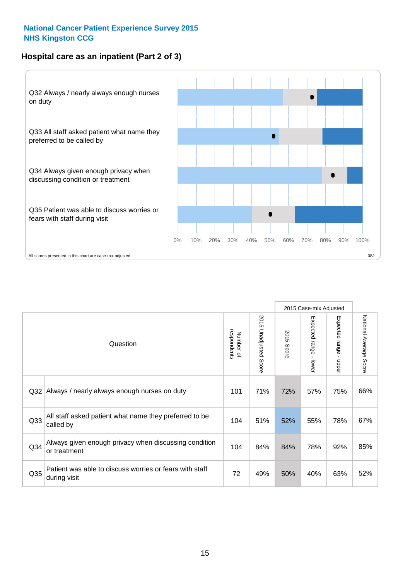#### **Hospital care as an inpatient (Part 2 of 3)**



|                 |                                                                         |                          |                             |               | 2015 Case-mix Adjusted |                           |                                  |
|-----------------|-------------------------------------------------------------------------|--------------------------|-----------------------------|---------------|------------------------|---------------------------|----------------------------------|
|                 | Question                                                                | respondents<br>Number of | 2015<br>Unadjusted<br>Score | 2015<br>Score | Expected range - lower | Expected range<br>- nbber | National Average<br><b>Score</b> |
| Q <sub>32</sub> | Always / nearly always enough nurses on duty                            | 101                      | 71%                         | 72%           | 57%                    | 75%                       | 66%                              |
| Q33             | All staff asked patient what name they preferred to be<br>called by     | 104                      | 51%                         | 52%           | 55%                    | 78%                       | 67%                              |
| Q34             | Always given enough privacy when discussing condition<br>or treatment   | 104                      | 84%                         | 84%           | 78%                    | 92%                       | 85%                              |
| Q35             | Patient was able to discuss worries or fears with staff<br>during visit | 72                       | 49%                         | 50%           | 40%                    | 63%                       | 52%                              |
|                 |                                                                         |                          |                             |               |                        |                           |                                  |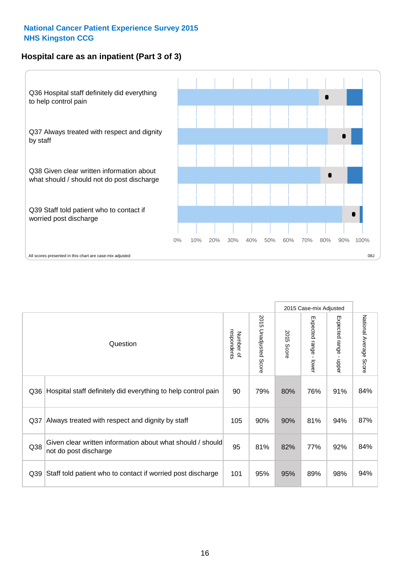#### **Hospital care as an inpatient (Part 3 of 3)**



|                 |                                                                                     |                          |                       |               | 2015 Case-mix Adjusted                    |                           |                        |
|-----------------|-------------------------------------------------------------------------------------|--------------------------|-----------------------|---------------|-------------------------------------------|---------------------------|------------------------|
|                 | Question                                                                            | respondents<br>Number of | 2015 Unadjusted Score | 2015<br>Score | Expected range<br>$\blacksquare$<br>lower | Expected range -<br>nbber | National Average Score |
| Q36             | Hospital staff definitely did everything to help control pain                       | 90                       | 79%                   | 80%           | 76%                                       | 91%                       | 84%                    |
| Q <sub>37</sub> | Always treated with respect and dignity by staff                                    | 105                      | 90%                   | 90%           | 81%                                       | 94%                       | 87%                    |
| Q38             | Given clear written information about what should / should<br>not do post discharge | 95                       | 81%                   | 82%           | 77%                                       | 92%                       | 84%                    |
| Q39             | Staff told patient who to contact if worried post discharge                         | 101                      | 95%                   | 95%           | 89%                                       | 98%                       | 94%                    |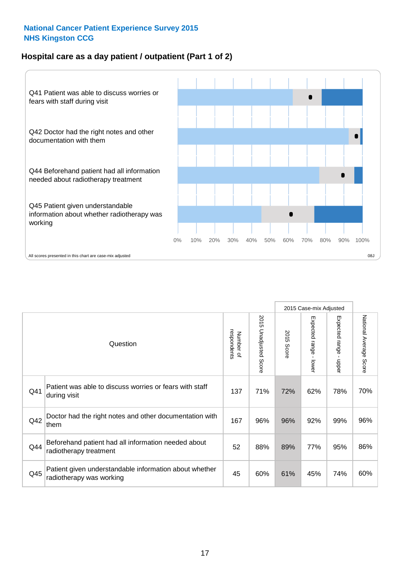#### **Hospital care as a day patient / outpatient (Part 1 of 2)**



|     |                                                                                    |                          |                                 | 2015 Case-mix Adjusted |                                         |                                         |                        |
|-----|------------------------------------------------------------------------------------|--------------------------|---------------------------------|------------------------|-----------------------------------------|-----------------------------------------|------------------------|
|     | Question                                                                           | respondents<br>Number of | 2015<br><b>Unadjusted Score</b> | 2015<br><b>Score</b>   | Expected range<br>$\mathbf{r}$<br>lower | Expected range<br>$\mathbf{r}$<br>nbber | National Average Score |
| Q41 | Patient was able to discuss worries or fears with staff<br>during visit            | 137                      | 71%                             | 72%                    | 62%                                     | 78%                                     | 70%                    |
| Q42 | Doctor had the right notes and other documentation with<br>them                    | 167                      | 96%                             | 96%                    | 92%                                     | 99%                                     | 96%                    |
| Q44 | Beforehand patient had all information needed about<br>radiotherapy treatment      | 52                       | 88%                             | 89%                    | 77%                                     | 95%                                     | 86%                    |
| Q45 | Patient given understandable information about whether<br>radiotherapy was working | 45                       | 60%                             | 61%                    | 45%                                     | 74%                                     | 60%                    |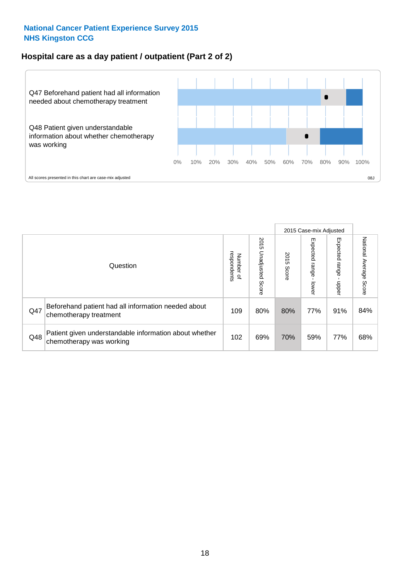#### **Hospital care as a day patient / outpatient (Part 2 of 2)**



|     |                                                                                    |                                       |                             | 2015 Case-mix Adjusted |                              |                         |                           |
|-----|------------------------------------------------------------------------------------|---------------------------------------|-----------------------------|------------------------|------------------------------|-------------------------|---------------------------|
|     | Question                                                                           | respondents<br>Number<br>$\mathbf{Q}$ | 2015<br>Unadjusted<br>Score | 2015<br>Score          | Expected<br>I range<br>lower | Expected range<br>nbber | National Average<br>Score |
| Q47 | Beforehand patient had all information needed about<br>chemotherapy treatment      | 109                                   | 80%                         | 80%                    | 77%                          | 91%                     | 84%                       |
| Q48 | Patient given understandable information about whether<br>chemotherapy was working | 102                                   | 69%                         | 70%                    | 59%                          | 77%                     | 68%                       |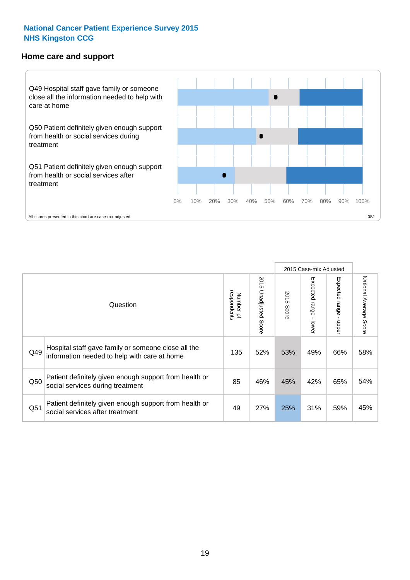#### **Home care and support**



|     |                                                                                                     |                          |                          | 2015 Case-mix Adjusted |                         |                       |                        |
|-----|-----------------------------------------------------------------------------------------------------|--------------------------|--------------------------|------------------------|-------------------------|-----------------------|------------------------|
|     | Question                                                                                            | respondents<br>Number of | 2015<br>Unadjusted Score | 2015<br>Score          | Expected range<br>lower | Expected range<br>ddo | National Average Score |
| Q49 | Hospital staff gave family or someone close all the<br>information needed to help with care at home | 135                      | 52%                      | 53%                    | 49%                     | 66%                   | 58%                    |
| Q50 | Patient definitely given enough support from health or<br>social services during treatment          | 85                       | 46%                      | 45%                    | 42%                     | 65%                   | 54%                    |
| Q51 | Patient definitely given enough support from health or<br>social services after treatment           | 49                       | 27%                      | 25%                    | 31%                     | 59%                   | 45%                    |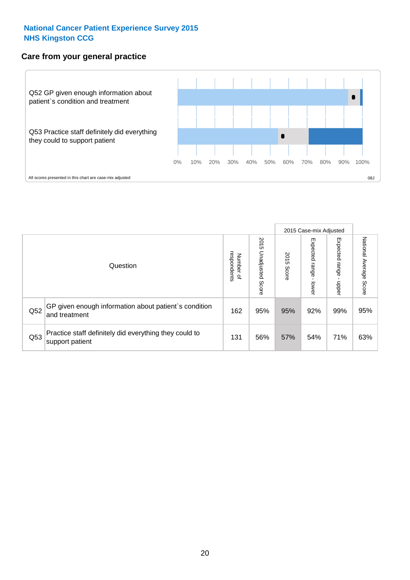#### **Care from your general practice**



|     |                                                                           |                                       |                             | 2015 Case-mix Adjusted |                                   |                            |                           |
|-----|---------------------------------------------------------------------------|---------------------------------------|-----------------------------|------------------------|-----------------------------------|----------------------------|---------------------------|
|     | Question                                                                  | respondents<br>Number<br>$\mathbf{Q}$ | 2015<br>Unadjusted<br>Score | 2015<br>Score          | Expected<br><b>Lange</b><br>lower | Expected<br>range<br>doper | National Average<br>Score |
| Q52 | GP given enough information about patient's condition<br>and treatment    | 162                                   | 95%                         | 95%                    | 92%                               | 99%                        | 95%                       |
| Q53 | Practice staff definitely did everything they could to<br>support patient | 131                                   | 56%                         | 57%                    | 54%                               | 71%                        | 63%                       |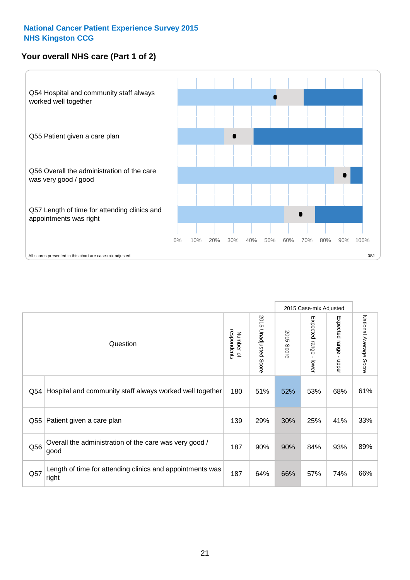#### **Your overall NHS care (Part 1 of 2)**



|     |                                                                    |                          |                          |                      | 2015 Case-mix Adjusted  |                                           |                        |
|-----|--------------------------------------------------------------------|--------------------------|--------------------------|----------------------|-------------------------|-------------------------------------------|------------------------|
|     | Question                                                           | respondents<br>Number of | 2015<br>Unadjusted Score | 2015<br><b>Score</b> | Expected range<br>lower | Expected range<br>$\blacksquare$<br>nbber | National Average Score |
| Q54 | Hospital and community staff always worked well together           | 180                      | 51%                      | 52%                  | 53%                     | 68%                                       | 61%                    |
| Q55 | Patient given a care plan                                          | 139                      | 29%                      | 30%                  | 25%                     | 41%                                       | 33%                    |
| Q56 | Overall the administration of the care was very good /<br>good     | 187                      | 90%                      | 90%                  | 84%                     | 93%                                       | 89%                    |
| Q57 | Length of time for attending clinics and appointments was<br>right | 187                      | 64%                      | 66%                  | 57%                     | 74%                                       | 66%                    |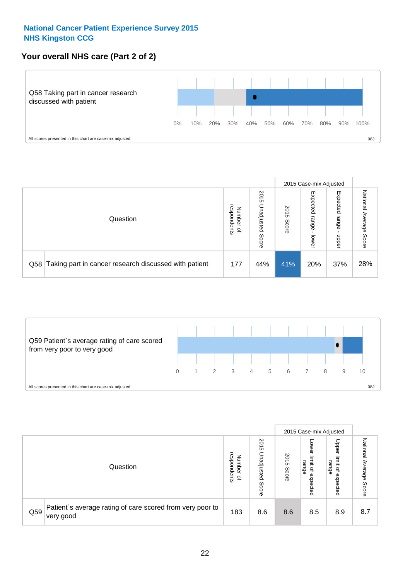#### **Your overall NHS care (Part 2 of 2)**



|     |                                                       |                                   |                             | 2015 Case-mix Adjusted |                            |                            |                        |
|-----|-------------------------------------------------------|-----------------------------------|-----------------------------|------------------------|----------------------------|----------------------------|------------------------|
|     | Question                                              | respondents<br>Number<br>$\Omega$ | 2015<br>Unadjusted<br>Score | 2015<br>Score          | Expected<br>range<br>lower | Expected<br>range<br>nbber | National Average Score |
| Q58 | Taking part in cancer research discussed with patient | 177                               | 44%                         | 41%                    | 20%                        | 37%                        | 28%                    |



|     |                                                                        |                                              |                             |               |                                                    | 2015 Case-mix Adjusted                                |                                     |
|-----|------------------------------------------------------------------------|----------------------------------------------|-----------------------------|---------------|----------------------------------------------------|-------------------------------------------------------|-------------------------------------|
|     | Question                                                               | respondents<br>Number<br>$\overline{\sigma}$ | 2015<br>Unadjusted<br>Score | 2015<br>Score | OWer<br>limit<br>range<br>$\mathbf{a}$<br>expected | Upper<br>limit<br>range<br>$\overline{a}$<br>expected | National<br>Average<br><b>Score</b> |
| Q59 | Patient's average rating of care scored from very poor to<br>very good | 183                                          | 8.6                         | 8.6           | 8.5                                                | 8.9                                                   | 8.7                                 |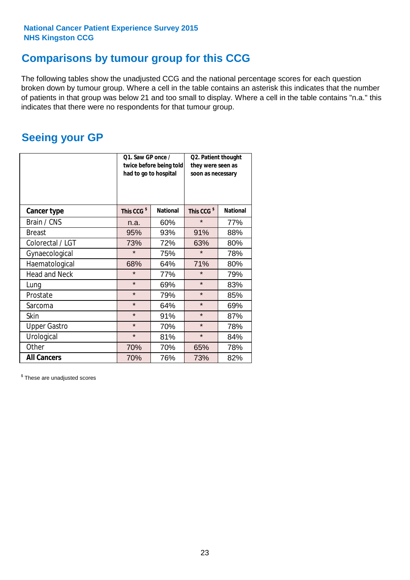### **Comparisons by tumour group for this CCG**

The following tables show the unadjusted CCG and the national percentage scores for each question broken down by tumour group. Where a cell in the table contains an asterisk this indicates that the number of patients in that group was below 21 and too small to display. Where a cell in the table contains "n.a." this indicates that there were no respondents for that tumour group.

### **Seeing your GP**

|                      | Q1. Saw GP once /<br>had to go to hospital | twice before being told | Q2. Patient thought<br>they were seen as<br>soon as necessary |                 |  |
|----------------------|--------------------------------------------|-------------------------|---------------------------------------------------------------|-----------------|--|
| <b>Cancer type</b>   | This CCG <sup>\$</sup>                     | <b>National</b>         | This CCG <sup>\$</sup>                                        | <b>National</b> |  |
| Brain / CNS          | n.a.                                       | 60%                     | $\star$                                                       | 77%             |  |
| <b>Breast</b>        | 95%                                        | 93%                     | 91%                                                           | 88%             |  |
| Colorectal / LGT     | 73%                                        | 72%                     | 63%                                                           | 80%             |  |
| Gynaecological       | $\star$                                    | 75%                     | $\star$                                                       | 78%             |  |
| Haematological       | 68%                                        | 64%                     | 71%                                                           | 80%             |  |
| <b>Head and Neck</b> | $\star$                                    | 77%                     | $\star$                                                       | 79%             |  |
| Lung                 | $\star$                                    | 69%                     | $\star$                                                       | 83%             |  |
| Prostate             | $\star$                                    | 79%                     | $\star$                                                       | 85%             |  |
| Sarcoma              | $\star$                                    | 64%                     | $\star$                                                       | 69%             |  |
| <b>Skin</b>          | $\star$                                    | 91%                     | $\star$                                                       | 87%             |  |
| <b>Upper Gastro</b>  | $\star$                                    | 70%                     | $\star$                                                       | 78%             |  |
| Urological           | $\star$                                    | 81%                     | $\star$                                                       | 84%             |  |
| Other                | 70%                                        | 70%                     | 65%                                                           | 78%             |  |
| <b>All Cancers</b>   | 70%                                        | 76%                     | 73%                                                           | 82%             |  |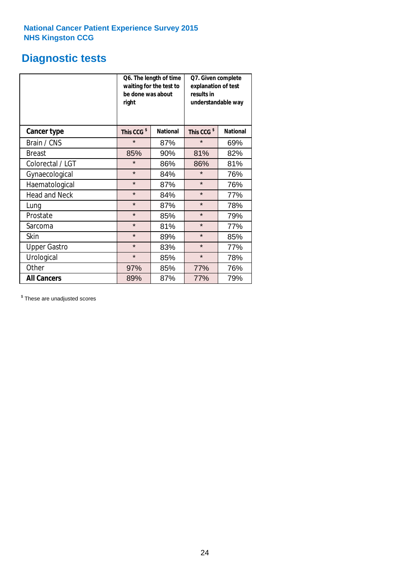# **Diagnostic tests**

|                      | be done was about<br>right | Q6. The length of time<br>waiting for the test to | Q7. Given complete<br>explanation of test<br>results in<br>understandable way |                 |  |  |
|----------------------|----------------------------|---------------------------------------------------|-------------------------------------------------------------------------------|-----------------|--|--|
| <b>Cancer type</b>   | This CCG <sup>\$</sup>     | <b>National</b>                                   | This CCG <sup>\$</sup>                                                        | <b>National</b> |  |  |
| Brain / CNS          | $\star$                    | 87%                                               | $\star$                                                                       | 69%             |  |  |
| <b>Breast</b>        | 85%                        | 90%                                               | 81%                                                                           | 82%             |  |  |
| Colorectal / LGT     | $\star$                    | 86%                                               | 86%                                                                           | 81%             |  |  |
| Gynaecological       | $\star$                    | 84%                                               | $\star$                                                                       | 76%             |  |  |
| Haematological       | $\star$                    | 87%                                               | $\star$                                                                       | 76%             |  |  |
| <b>Head and Neck</b> | $\star$                    | 84%                                               | $\star$                                                                       | 77%             |  |  |
| Lung                 | $\star$                    | 87%                                               | $\star$                                                                       | 78%             |  |  |
| Prostate             | $\star$                    | 85%                                               | $\star$                                                                       | 79%             |  |  |
| Sarcoma              | $\star$                    | 81%                                               | $\star$                                                                       | 77%             |  |  |
| Skin                 | $\star$                    | 89%                                               | $\star$                                                                       | 85%             |  |  |
| <b>Upper Gastro</b>  | $\star$                    | 83%                                               | $\star$                                                                       | 77%             |  |  |
| Urological           | $\star$                    | 85%                                               | $\star$                                                                       | 78%             |  |  |
| Other                | 85%<br>97%                 |                                                   | 77%                                                                           | 76%             |  |  |
| <b>All Cancers</b>   | 89%                        | 87%                                               | 77%                                                                           | 79%             |  |  |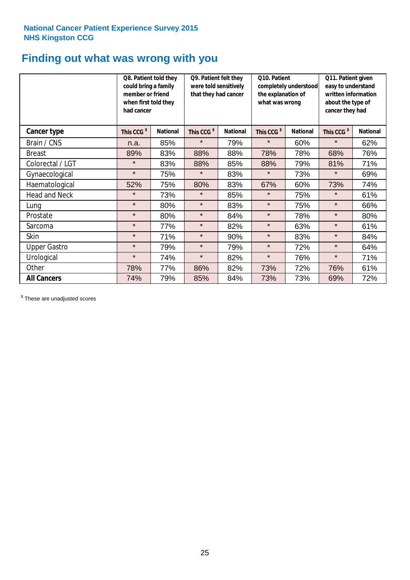### **Finding out what was wrong with you**

|                      | Q8. Patient told they<br>could bring a family<br>member or friend<br>when first told they<br>had cancer |                 | Q9. Patient felt they<br>were told sensitively<br>that they had cancer |                 | Q10. Patient<br>completely understood<br>the explanation of<br>what was wrong |                 | Q11. Patient given<br>easy to understand<br>written information<br>about the type of<br>cancer they had |                 |
|----------------------|---------------------------------------------------------------------------------------------------------|-----------------|------------------------------------------------------------------------|-----------------|-------------------------------------------------------------------------------|-----------------|---------------------------------------------------------------------------------------------------------|-----------------|
| Cancer type          | This CCG <sup>\$</sup>                                                                                  | <b>National</b> | This CCG <sup>\$</sup>                                                 | <b>National</b> | This CCG <sup>\$</sup>                                                        | <b>National</b> | This CCG <sup>\$</sup>                                                                                  | <b>National</b> |
| Brain / CNS          | n.a.                                                                                                    | 85%             | $\star$                                                                | 79%             | $\star$                                                                       | 60%             | $\star$                                                                                                 | 62%             |
| <b>Breast</b>        | 89%                                                                                                     | 83%             | 88%                                                                    | 88%             | 78%                                                                           | 78%             | 68%                                                                                                     | 76%             |
| Colorectal / LGT     | $\star$                                                                                                 | 83%             | 88%                                                                    | 85%             | 88%                                                                           | 79%             | 81%                                                                                                     | 71%             |
| Gynaecological       | $\star$                                                                                                 | 75%             | $\star$                                                                | 83%             | $\star$                                                                       | 73%             | $\star$                                                                                                 | 69%             |
| Haematological       | 52%                                                                                                     | 75%             | 80%                                                                    | 83%             | 67%                                                                           | 60%             | 73%                                                                                                     | 74%             |
| <b>Head and Neck</b> | $\star$                                                                                                 | 73%             | $\star$                                                                | 85%             | $\star$                                                                       | 75%             | $\star$                                                                                                 | 61%             |
| Lung                 | $\star$                                                                                                 | 80%             | $\star$                                                                | 83%             | $\star$                                                                       | 75%             | $\star$                                                                                                 | 66%             |
| Prostate             | $\star$                                                                                                 | 80%             | $\star$                                                                | 84%             | $\star$                                                                       | 78%             | $\star$                                                                                                 | 80%             |
| Sarcoma              | $\star$                                                                                                 | 77%             | $\star$                                                                | 82%             | $\star$                                                                       | 63%             | $\star$                                                                                                 | 61%             |
| Skin                 | $\star$                                                                                                 | 71%             | $\star$                                                                | 90%             | $\star$                                                                       | 83%             | $\star$                                                                                                 | 84%             |
| <b>Upper Gastro</b>  | $\star$                                                                                                 | 79%             | $\star$                                                                | 79%             | $\star$                                                                       | 72%             | $\star$                                                                                                 | 64%             |
| Urological           | $\star$                                                                                                 | 74%             | $\star$                                                                | 82%             | $\star$                                                                       | 76%             | $\star$                                                                                                 | 71%             |
| Other                | 78%                                                                                                     | 77%             | 86%                                                                    | 82%             | 73%                                                                           | 72%             | 76%                                                                                                     | 61%             |
| <b>All Cancers</b>   | 74%                                                                                                     | 79%             | 85%                                                                    | 84%             | 73%                                                                           | 73%             | 69%                                                                                                     | 72%             |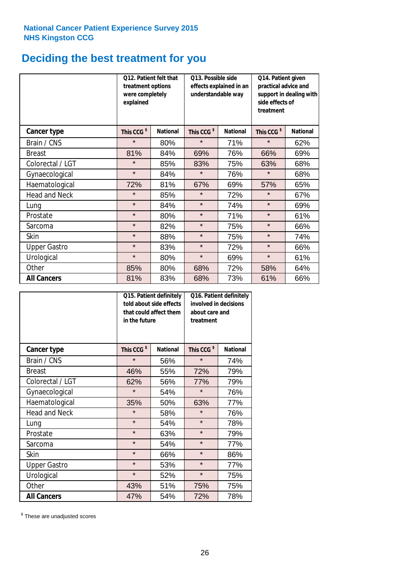# **Deciding the best treatment for you**

|                      | treatment options<br>were completely<br>explained | <b>O12. Patient felt that</b> | O13. Possible side<br>understandable way | effects explained in an | Q14. Patient given<br>practical advice and<br>support in dealing with<br>side effects of<br>treatment |                 |  |
|----------------------|---------------------------------------------------|-------------------------------|------------------------------------------|-------------------------|-------------------------------------------------------------------------------------------------------|-----------------|--|
| <b>Cancer type</b>   | This CCG <sup>\$</sup>                            | <b>National</b>               | This CCG <sup>\$</sup>                   | <b>National</b>         | This CCG <sup>\$</sup>                                                                                | <b>National</b> |  |
| Brain / CNS          | $\star$                                           | 80%                           | $\star$                                  | 71%                     | $\star$                                                                                               | 62%             |  |
| <b>Breast</b>        | 81%                                               | 84%                           | 69%                                      | 76%                     | 66%                                                                                                   | 69%             |  |
| Colorectal / LGT     | $\star$                                           | 85%                           | 83%                                      | 75%                     | 63%                                                                                                   | 68%             |  |
| Gynaecological       | $\star$                                           | 84%                           | $\star$                                  | 76%                     | $\star$                                                                                               | 68%             |  |
| Haematological       | 72%                                               | 81%                           | 67%                                      | 69%                     | 57%                                                                                                   | 65%             |  |
| <b>Head and Neck</b> | $\star$                                           | 85%                           | $\star$                                  | 72%                     | $\star$                                                                                               | 67%             |  |
| Lung                 | $\star$                                           | 84%                           | $\star$                                  | 74%                     | $\star$                                                                                               | 69%             |  |
| Prostate             | $\star$                                           | 80%                           | $\star$                                  | 71%                     | $\star$                                                                                               | 61%             |  |
| Sarcoma              | $\star$                                           | 82%                           | $\star$                                  | 75%                     | $\star$                                                                                               | 66%             |  |
| Skin                 | $\star$                                           | 88%                           | $\star$                                  | 75%                     | $\star$                                                                                               | 74%             |  |
| <b>Upper Gastro</b>  | $\star$                                           | 83%                           | $\star$                                  | 72%                     | $\star$                                                                                               | 66%             |  |
| Urological           | $\star$                                           | 80%                           | $\star$                                  | 69%                     | $\star$                                                                                               | 61%             |  |
| Other                | 85%                                               | 80%                           | 68%                                      | 72%                     | 58%                                                                                                   | 64%             |  |
| <b>All Cancers</b>   | 81%                                               | 83%                           | 68%                                      | 73%                     | 61%                                                                                                   | 66%             |  |

|                      | in the future          | Q15. Patient definitely<br>told about side effects<br>that could affect them | Q16. Patient definitely<br>involved in decisions<br>about care and<br>treatment |                 |  |
|----------------------|------------------------|------------------------------------------------------------------------------|---------------------------------------------------------------------------------|-----------------|--|
| <b>Cancer type</b>   | This CCG <sup>\$</sup> | <b>National</b>                                                              | This CCG <sup>\$</sup>                                                          | <b>National</b> |  |
| Brain / CNS          | $\star$                | 56%                                                                          | $\star$                                                                         | 74%             |  |
| <b>Breast</b>        | 46%                    | 55%                                                                          | 72%                                                                             | 79%             |  |
| Colorectal / LGT     | 62%                    | 56%                                                                          | 77%                                                                             | 79%             |  |
| Gynaecological       | $\star$                | 54%                                                                          |                                                                                 | 76%             |  |
| Haematological       | 50%<br>35%             |                                                                              | 63%                                                                             | 77%             |  |
| <b>Head and Neck</b> | $\star$                | 58%                                                                          | $\star$                                                                         | 76%             |  |
| Lung                 | $\star$                | 54%                                                                          | $\star$                                                                         | 78%             |  |
| Prostate             | $\star$                | 63%                                                                          | $\star$                                                                         | 79%             |  |
| Sarcoma              | $\star$                | 54%                                                                          | $\star$                                                                         | 77%             |  |
| Skin                 | $\star$                | 66%                                                                          | $\star$                                                                         | 86%             |  |
| <b>Upper Gastro</b>  | $\star$                | 53%                                                                          | $\star$                                                                         | 77%             |  |
| Urological           | $\star$                | 52%                                                                          | $\star$                                                                         | 75%             |  |
| Other                | 43%                    | 51%                                                                          | 75%                                                                             | 75%             |  |
| <b>All Cancers</b>   | 47%                    | 54%                                                                          | 72%                                                                             | 78%             |  |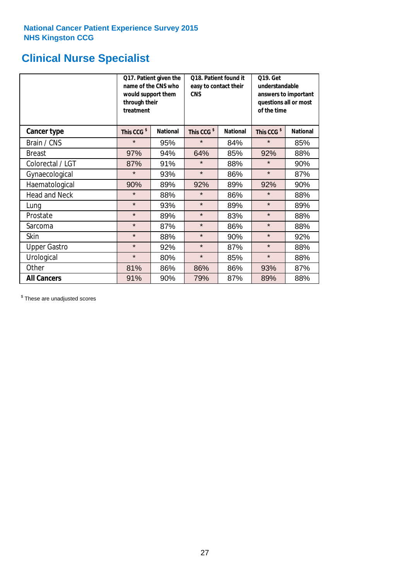# **Clinical Nurse Specialist**

|                      | would support them<br>through their<br>treatment | Q17. Patient given the<br>name of the CNS who | Q18. Patient found it<br>easy to contact their<br><b>CNS</b> |                 | <b>Q19. Get</b><br>understandable<br>answers to important<br>questions all or most<br>of the time |                 |
|----------------------|--------------------------------------------------|-----------------------------------------------|--------------------------------------------------------------|-----------------|---------------------------------------------------------------------------------------------------|-----------------|
| <b>Cancer type</b>   | This CCG <sup>\$</sup>                           | <b>National</b>                               | This CCG <sup>\$</sup>                                       | <b>National</b> | This CCG <sup>\$</sup>                                                                            | <b>National</b> |
| Brain / CNS          | $\star$                                          | 95%                                           | $\star$                                                      | 84%             | $\star$                                                                                           | 85%             |
| <b>Breast</b>        | 97%                                              | 94%                                           | 64%                                                          | 85%             | 92%                                                                                               | 88%             |
| Colorectal / LGT     | 87%                                              | 91%                                           | $\star$                                                      | 88%             | $\star$                                                                                           | 90%             |
| Gynaecological       | $\star$                                          | 93%                                           | $\star$                                                      | 86%             | $\star$                                                                                           | 87%             |
| Haematological       | 90%                                              | 89%                                           | 92%                                                          | 89%             | 92%                                                                                               | 90%             |
| <b>Head and Neck</b> | $\star$                                          | 88%                                           | $\star$                                                      | 86%             | $\star$                                                                                           | 88%             |
| Lung                 | $\star$                                          | 93%                                           | $\star$                                                      | 89%             | $\star$                                                                                           | 89%             |
| Prostate             | $\star$                                          | 89%                                           | $\star$                                                      | 83%             | $\star$                                                                                           | 88%             |
| Sarcoma              | $\star$                                          | 87%                                           | $\star$                                                      | 86%             | $\star$                                                                                           | 88%             |
| Skin                 | $\star$                                          | 88%                                           | $\star$                                                      | 90%             | $\star$                                                                                           | 92%             |
| <b>Upper Gastro</b>  | $\star$                                          | 92%                                           | $\star$                                                      | 87%             | $\star$                                                                                           | 88%             |
| Urological           | $\star$                                          | 80%                                           | $\star$                                                      | 85%             | $\star$                                                                                           | 88%             |
| Other                | 81%                                              | 86%                                           | 86%                                                          | 86%             | 93%                                                                                               | 87%             |
| <b>All Cancers</b>   | 91%                                              | 90%                                           | 79%                                                          | 87%             | 89%                                                                                               | 88%             |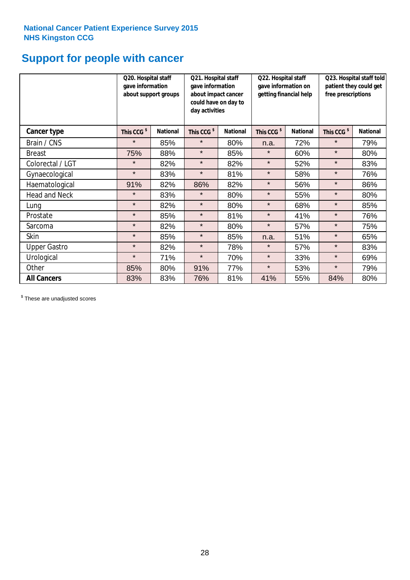# **Support for people with cancer**

|                      | gave information       | Q20. Hospital staff<br>Q21. Hospital staff<br>gave information<br>about support groups<br>about impact cancer<br>could have on day to<br>day activities |                        |                 | Q22. Hospital staff<br>gave information on<br>getting financial help |                 | Q23. Hospital staff told<br>patient they could get<br>free prescriptions |                 |
|----------------------|------------------------|---------------------------------------------------------------------------------------------------------------------------------------------------------|------------------------|-----------------|----------------------------------------------------------------------|-----------------|--------------------------------------------------------------------------|-----------------|
| Cancer type          | This CCG <sup>\$</sup> | <b>National</b>                                                                                                                                         | This CCG <sup>\$</sup> | <b>National</b> | This CCG <sup>\$</sup>                                               | <b>National</b> | This CCG <sup>\$</sup>                                                   | <b>National</b> |
| Brain / CNS          | $\star$                | 85%                                                                                                                                                     | $\star$                | 80%             | n.a.                                                                 | 72%             | $\star$                                                                  | 79%             |
| <b>Breast</b>        | 75%                    | 88%                                                                                                                                                     | $\star$                | 85%             | $\star$                                                              | 60%             | $\star$                                                                  | 80%             |
| Colorectal / LGT     | $\star$                | 82%                                                                                                                                                     | $\star$                | 82%             | $\star$                                                              | 52%             | $\star$                                                                  | 83%             |
| Gynaecological       | $\star$                | 83%                                                                                                                                                     | $\star$                | 81%             | $\star$                                                              | 58%             | $\star$                                                                  | 76%             |
| Haematological       | 91%                    | 82%                                                                                                                                                     | 86%                    | 82%             | $\star$                                                              | 56%             | $\star$                                                                  | 86%             |
| <b>Head and Neck</b> | $\star$                | 83%                                                                                                                                                     | $\star$                | 80%             | $\star$                                                              | 55%             | $\star$                                                                  | 80%             |
| Lung                 | $\star$                | 82%                                                                                                                                                     | $\star$                | 80%             | $\star$                                                              | 68%             | $\star$                                                                  | 85%             |
| Prostate             | $\star$                | 85%                                                                                                                                                     | $\star$                | 81%             | $\star$                                                              | 41%             | $\star$                                                                  | 76%             |
| Sarcoma              | $\star$                | 82%                                                                                                                                                     | $\star$                | 80%             | $\star$                                                              | 57%             | $\star$                                                                  | 75%             |
| Skin                 | $\star$                | 85%                                                                                                                                                     | $\star$                | 85%             | n.a.                                                                 | 51%             | $\star$                                                                  | 65%             |
| <b>Upper Gastro</b>  | $\star$                | 82%                                                                                                                                                     | $\star$                | 78%             | $\star$                                                              | 57%             | $\star$                                                                  | 83%             |
| Urological           | $\star$                | 71%                                                                                                                                                     | $\star$                | 70%             | $\star$                                                              | 33%             | $\star$                                                                  | 69%             |
| Other                | 85%                    | 80%                                                                                                                                                     | 91%                    | 77%             | $\star$                                                              | 53%             | $\star$                                                                  | 79%             |
| <b>All Cancers</b>   | 83%                    | 83%                                                                                                                                                     | 76%                    | 81%             | 41%                                                                  | 55%             | 84%                                                                      | 80%             |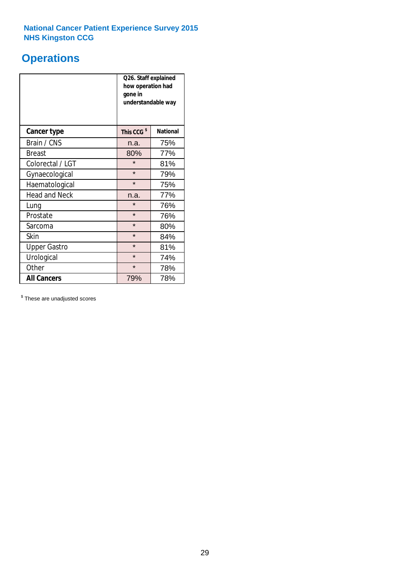# **Operations**

|                      | Q26. Staff explained<br>how operation had<br>gone in<br>understandable way |                 |  |  |
|----------------------|----------------------------------------------------------------------------|-----------------|--|--|
| <b>Cancer type</b>   | This CCG <sup>\$</sup>                                                     | <b>National</b> |  |  |
| Brain / CNS          | n.a.                                                                       | 75%             |  |  |
| <b>Breast</b>        | 80%                                                                        | 77%             |  |  |
| Colorectal / LGT     | $\star$                                                                    | 81%             |  |  |
| Gynaecological       | $\star$                                                                    | 79%             |  |  |
| Haematological       | $\star$<br>75%                                                             |                 |  |  |
| <b>Head and Neck</b> | n.a.                                                                       | 77%             |  |  |
| Lung                 | $\star$                                                                    | 76%             |  |  |
| Prostate             | $\star$                                                                    | 76%             |  |  |
| Sarcoma              | $\star$                                                                    | 80%             |  |  |
| Skin                 | $\star$                                                                    | 84%             |  |  |
| <b>Upper Gastro</b>  | $\star$                                                                    | 81%             |  |  |
| Urological           | $\star$                                                                    | 74%             |  |  |
| Other                | $\star$<br>78%                                                             |                 |  |  |
| <b>All Cancers</b>   | 79%                                                                        | 78%             |  |  |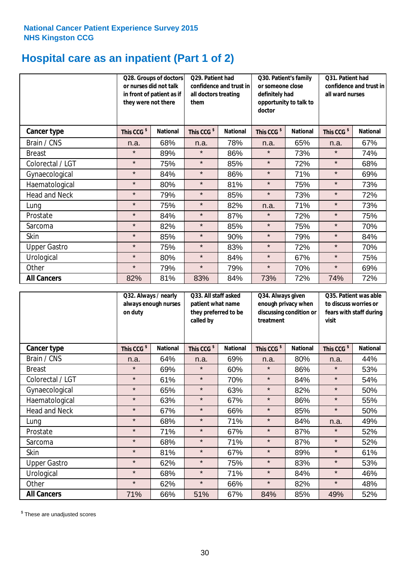# **Hospital care as an inpatient (Part 1 of 2)**

|                      | or nurses did not talk<br>they were not there | Q29. Patient had<br>Q28. Groups of doctors<br>confidence and trust in<br>in front of patient as if<br>all doctors treating<br>them |                        | Q30. Patient's family<br>or someone close<br>definitely had<br>opportunity to talk to<br>doctor |                        | Q31. Patient had<br>confidence and trust in<br>all ward nurses |                        |                 |
|----------------------|-----------------------------------------------|------------------------------------------------------------------------------------------------------------------------------------|------------------------|-------------------------------------------------------------------------------------------------|------------------------|----------------------------------------------------------------|------------------------|-----------------|
| Cancer type          | This CCG <sup>\$</sup>                        | <b>National</b>                                                                                                                    | This CCG <sup>\$</sup> | <b>National</b>                                                                                 | This CCG <sup>\$</sup> | <b>National</b>                                                | This CCG <sup>\$</sup> | <b>National</b> |
| Brain / CNS          | n.a.                                          | 68%                                                                                                                                | n.a.                   | 78%                                                                                             | n.a.                   | 65%                                                            | n.a.                   | 67%             |
| <b>Breast</b>        | $\star$                                       | 89%                                                                                                                                | $\star$                | 86%                                                                                             | $\star$                | 73%                                                            | $\star$                | 74%             |
| Colorectal / LGT     | $\star$                                       | 75%                                                                                                                                | $\star$                | 85%                                                                                             | $\star$                | 72%                                                            | $\star$                | 68%             |
| Gynaecological       | $\star$                                       | 84%                                                                                                                                | $\star$                | 86%                                                                                             | $\star$                | 71%                                                            | $\star$                | 69%             |
| Haematological       | $\star$                                       | 80%                                                                                                                                | $\star$                | 81%                                                                                             | $\star$                | 75%                                                            | $\star$                | 73%             |
| <b>Head and Neck</b> | $\star$                                       | 79%                                                                                                                                | $\star$                | 85%                                                                                             | $\star$                | 73%                                                            | $\star$                | 72%             |
| Lung                 | $\star$                                       | 75%                                                                                                                                | $\star$                | 82%                                                                                             | n.a.                   | 71%                                                            | $\star$                | 73%             |
| Prostate             | $\star$                                       | 84%                                                                                                                                | $\star$                | 87%                                                                                             | $\star$                | 72%                                                            | $\star$                | 75%             |
| Sarcoma              | $\star$                                       | 82%                                                                                                                                | $\star$                | 85%                                                                                             | $\star$                | 75%                                                            | $\star$                | 70%             |
| Skin                 | $\star$                                       | 85%                                                                                                                                | $\star$                | 90%                                                                                             | $\star$                | 79%                                                            | $\star$                | 84%             |
| <b>Upper Gastro</b>  | $\star$                                       | 75%                                                                                                                                | $\star$                | 83%                                                                                             | $\star$                | 72%                                                            | $\star$                | 70%             |
| Urological           | $\star$                                       | 80%                                                                                                                                | $\star$                | 84%                                                                                             | $\star$                | 67%                                                            | $\star$                | 75%             |
| Other                | $\star$                                       | 79%                                                                                                                                | $\star$                | 79%                                                                                             | $\star$                | 70%                                                            | $\star$                | 69%             |
| <b>All Cancers</b>   | 82%                                           | 81%                                                                                                                                | 83%                    | 84%                                                                                             | 73%                    | 72%                                                            | 74%                    | 72%             |

|                      | Q32. Always / nearly<br>always enough nurses<br>on duty |                 | Q33. All staff asked<br>patient what name<br>they preferred to be<br>called by |                 | Q34. Always given<br>enough privacy when<br>discussing condition or<br>treatment |                 | Q35. Patient was able<br>to discuss worries or<br>fears with staff during<br>visit |                 |
|----------------------|---------------------------------------------------------|-----------------|--------------------------------------------------------------------------------|-----------------|----------------------------------------------------------------------------------|-----------------|------------------------------------------------------------------------------------|-----------------|
| <b>Cancer type</b>   | This CCG <sup>\$</sup>                                  | <b>National</b> | This CCG <sup>\$</sup>                                                         | <b>National</b> | This CCG <sup>\$</sup>                                                           | <b>National</b> | This CCG <sup>\$</sup>                                                             | <b>National</b> |
| Brain / CNS          | n.a.                                                    | 64%             | n.a.                                                                           | 69%             | n.a.                                                                             | 80%             | n.a.                                                                               | 44%             |
| <b>Breast</b>        | $\star$                                                 | 69%             | $\star$                                                                        | 60%             | $\star$                                                                          | 86%             | $\star$                                                                            | 53%             |
| Colorectal / LGT     | $\star$                                                 | 61%             | $\star$                                                                        | 70%             | $\star$                                                                          | 84%             | $\star$                                                                            | 54%             |
| Gynaecological       | $\star$                                                 | 65%             | $\star$                                                                        | 63%             | $\star$                                                                          | 82%             | $\star$                                                                            | 50%             |
| Haematological       | $\star$                                                 | 63%             | $\star$                                                                        | 67%             | $\star$                                                                          | 86%             | $\star$                                                                            | 55%             |
| <b>Head and Neck</b> | $\star$                                                 | 67%             | $\star$                                                                        | 66%             | $\star$                                                                          | 85%             | $\star$                                                                            | 50%             |
| Lung                 | $\star$                                                 | 68%             | $\star$                                                                        | 71%             | $\star$                                                                          | 84%             | n.a.                                                                               | 49%             |
| Prostate             | $\star$                                                 | 71%             | $\star$                                                                        | 67%             | $\star$                                                                          | 87%             | $\star$                                                                            | 52%             |
| Sarcoma              | $\star$                                                 | 68%             | $\star$                                                                        | 71%             | $\star$                                                                          | 87%             | $\star$                                                                            | 52%             |
| Skin                 | $\star$                                                 | 81%             | $\star$                                                                        | 67%             | $\star$                                                                          | 89%             | $\star$                                                                            | 61%             |
| <b>Upper Gastro</b>  | $\star$                                                 | 62%             | $\star$                                                                        | 75%             | $\star$                                                                          | 83%             | $\star$                                                                            | 53%             |
| Urological           | $\star$                                                 | 68%             | $\star$                                                                        | 71%             | $\star$                                                                          | 84%             | $\star$                                                                            | 46%             |
| Other                | $\star$                                                 | 62%             | $\star$                                                                        | 66%             | $\star$                                                                          | 82%             | $\star$                                                                            | 48%             |
| <b>All Cancers</b>   | 71%                                                     | 66%             | 51%                                                                            | 67%             | 84%                                                                              | 85%             | 49%                                                                                | 52%             |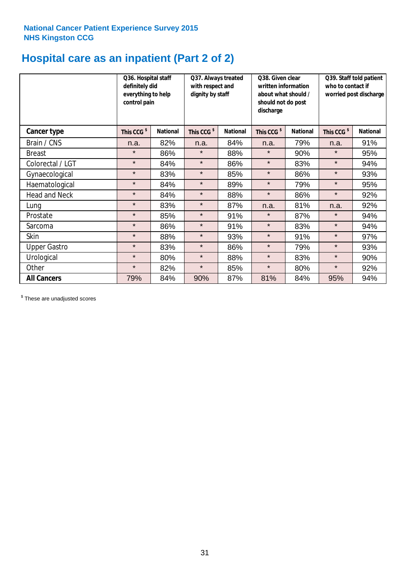# **Hospital care as an inpatient (Part 2 of 2)**

|                      | Q36. Hospital staff<br>definitely did<br>everything to help<br>control pain |                 | Q37. Always treated<br>with respect and<br>dignity by staff |                 | Q38. Given clear<br>written information<br>about what should /<br>should not do post<br>discharge |                 | Q39. Staff told patient<br>who to contact if<br>worried post discharge |                 |  |
|----------------------|-----------------------------------------------------------------------------|-----------------|-------------------------------------------------------------|-----------------|---------------------------------------------------------------------------------------------------|-----------------|------------------------------------------------------------------------|-----------------|--|
| Cancer type          | This CCG <sup>\$</sup>                                                      | <b>National</b> | This CCG <sup>\$</sup>                                      | <b>National</b> | This CCG <sup>\$</sup>                                                                            | <b>National</b> | This CCG <sup>\$</sup>                                                 | <b>National</b> |  |
| Brain / CNS          | n.a.                                                                        | 82%             | n.a.                                                        | 84%             | n.a.                                                                                              | 79%             | n.a.                                                                   | 91%             |  |
| <b>Breast</b>        | $\star$                                                                     | 86%             | $\star$                                                     | 88%             | $\star$                                                                                           | 90%             | $\star$                                                                | 95%             |  |
| Colorectal / LGT     | $\star$                                                                     | 84%             | $\star$                                                     | 86%             | $\star$                                                                                           | 83%             | $\star$                                                                | 94%             |  |
| Gynaecological       | $\star$                                                                     | 83%             | $\star$                                                     | 85%             | $\star$                                                                                           | 86%             | $\star$                                                                | 93%             |  |
| Haematological       | $\star$                                                                     | 84%             | $\star$                                                     | 89%             | $\star$                                                                                           | 79%             | $\star$                                                                | 95%             |  |
| <b>Head and Neck</b> | $\star$                                                                     | 84%             | $\star$                                                     | 88%             | $\star$                                                                                           | 86%             | $\star$                                                                | 92%             |  |
| Lung                 | $\star$                                                                     | 83%             | $\star$                                                     | 87%             | n.a.                                                                                              | 81%             | n.a.                                                                   | 92%             |  |
| Prostate             | $\star$                                                                     | 85%             | $\star$                                                     | 91%             | $\star$                                                                                           | 87%             | $\star$                                                                | 94%             |  |
| Sarcoma              | $\star$                                                                     | 86%             | $\star$                                                     | 91%             | $\star$                                                                                           | 83%             | $\star$                                                                | 94%             |  |
| Skin                 | $\star$                                                                     | 88%             | $\star$                                                     | 93%             | $\star$                                                                                           | 91%             | $\star$                                                                | 97%             |  |
| <b>Upper Gastro</b>  | $\star$                                                                     | 83%             | $\star$                                                     | 86%             | $\star$                                                                                           | 79%             | $\star$                                                                | 93%             |  |
| Urological           | $\star$                                                                     | 80%             | $\star$                                                     | 88%             | $\star$                                                                                           | 83%             | $\star$                                                                | 90%             |  |
| Other                | $\star$                                                                     | 82%             | $\star$                                                     | 85%             | $\star$                                                                                           | 80%             | $\star$                                                                | 92%             |  |
| <b>All Cancers</b>   | 79%                                                                         | 84%             | 90%                                                         | 87%             | 81%                                                                                               | 84%             | 95%                                                                    | 94%             |  |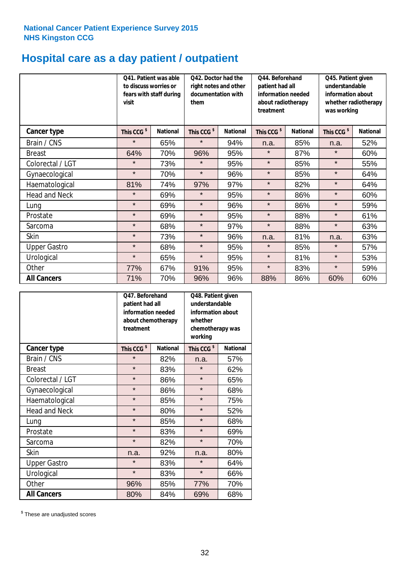# **Hospital care as a day patient / outpatient**

|                      | Q41. Patient was able<br>to discuss worries or<br>fears with staff during<br>visit | Q42. Doctor had the<br>right notes and other<br>documentation with<br>them |                        | Q44. Beforehand<br>patient had all<br>information needed<br>about radiotherapy<br>treatment |                        | Q45. Patient given<br>understandable<br>information about<br>whether radiotherapy<br>was working |                        |                 |
|----------------------|------------------------------------------------------------------------------------|----------------------------------------------------------------------------|------------------------|---------------------------------------------------------------------------------------------|------------------------|--------------------------------------------------------------------------------------------------|------------------------|-----------------|
| Cancer type          | This CCG <sup>\$</sup>                                                             | <b>National</b>                                                            | This CCG <sup>\$</sup> | <b>National</b>                                                                             | This CCG <sup>\$</sup> | <b>National</b>                                                                                  | This CCG <sup>\$</sup> | <b>National</b> |
| Brain / CNS          | $\star$                                                                            | 65%                                                                        | $\star$                | 94%                                                                                         | n.a.                   | 85%                                                                                              | n.a.                   | 52%             |
| <b>Breast</b>        | 64%                                                                                | 70%                                                                        | 96%                    | 95%                                                                                         | $\star$                | 87%                                                                                              | $\star$                | 60%             |
| Colorectal / LGT     | $\star$                                                                            | 73%                                                                        | $\star$                | 95%                                                                                         | $\star$                | 85%                                                                                              | $\star$                | 55%             |
| Gynaecological       | $\star$                                                                            | 70%                                                                        | $\star$                | 96%                                                                                         | $\star$                | 85%                                                                                              | $\star$                | 64%             |
| Haematological       | 81%                                                                                | 74%                                                                        | 97%                    | 97%                                                                                         | $\star$                | 82%                                                                                              | $\star$                | 64%             |
| <b>Head and Neck</b> | $\star$                                                                            | 69%                                                                        | $\star$                | 95%                                                                                         | $\star$                | 86%                                                                                              | $\star$                | 60%             |
| Lung                 | $\star$                                                                            | 69%                                                                        | $\star$                | 96%                                                                                         | $\star$                | 86%                                                                                              | $\star$                | 59%             |
| Prostate             | $\star$                                                                            | 69%                                                                        | $\star$                | 95%                                                                                         | $\star$                | 88%                                                                                              | $\star$                | 61%             |
| Sarcoma              | $\star$                                                                            | 68%                                                                        | $\star$                | 97%                                                                                         | $\star$                | 88%                                                                                              | $\star$                | 63%             |
| Skin                 | $\star$                                                                            | 73%                                                                        | $\star$                | 96%                                                                                         | n.a.                   | 81%                                                                                              | n.a.                   | 63%             |
| <b>Upper Gastro</b>  | $\star$                                                                            | 68%                                                                        | $\star$                | 95%                                                                                         | $\star$                | 85%                                                                                              | $\star$                | 57%             |
| Urological           | $\star$                                                                            | 65%                                                                        | $\star$                | 95%                                                                                         | $\star$                | 81%                                                                                              | $\star$                | 53%             |
| Other                | 77%                                                                                | 67%                                                                        | 91%                    | 95%                                                                                         | $\star$                | 83%                                                                                              | $\star$                | 59%             |
| <b>All Cancers</b>   | 71%                                                                                | 70%                                                                        | 96%                    | 96%                                                                                         | 88%                    | 86%                                                                                              | 60%                    | 60%             |

|                      | O47. Beforehand<br>patient had all<br>information needed<br>treatment | about chemotherapy | Q48. Patient given<br>understandable<br>information about<br>whether<br>chemotherapy was<br>working |                 |  |
|----------------------|-----------------------------------------------------------------------|--------------------|-----------------------------------------------------------------------------------------------------|-----------------|--|
| <b>Cancer type</b>   | This CCG <sup>\$</sup>                                                | <b>National</b>    | This CCG <sup>\$</sup>                                                                              | <b>National</b> |  |
| Brain / CNS          | $\star$                                                               | 82%                | n.a.                                                                                                | 57%             |  |
| <b>Breast</b>        | $\star$                                                               | 83%                | $\star$                                                                                             | 62%             |  |
| Colorectal / LGT     | $\star$                                                               | 86%                | $\star$                                                                                             | 65%             |  |
| Gynaecological       | $\star$<br>86%                                                        |                    | $\star$                                                                                             | 68%             |  |
| Haematological       | $\star$<br>85%                                                        |                    | $\star$                                                                                             | 75%             |  |
| <b>Head and Neck</b> | $\star$                                                               | 80%                | $\star$                                                                                             | 52%             |  |
| Lung                 | $\star$                                                               | 85%                | $\star$                                                                                             | 68%             |  |
| Prostate             | $\star$                                                               | 83%                | $\star$                                                                                             | 69%             |  |
| Sarcoma              | $\star$                                                               | 82%                | $\star$                                                                                             | 70%             |  |
| Skin                 | n.a.                                                                  | 92%                | n.a.                                                                                                | 80%             |  |
| <b>Upper Gastro</b>  | $\star$                                                               | 83%                | $\star$                                                                                             | 64%             |  |
| Urological           | $\star$                                                               | 83%                | $\star$                                                                                             | 66%             |  |
| Other                | 96%                                                                   | 85%                | 77%                                                                                                 | 70%             |  |
| <b>All Cancers</b>   | 80%                                                                   | 84%                | 69%                                                                                                 | 68%             |  |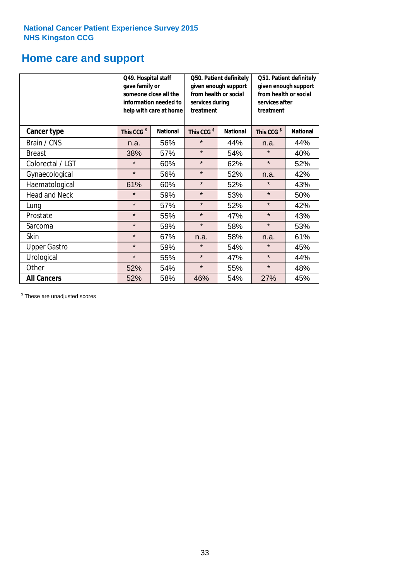### **Home care and support**

|                      | Q49. Hospital staff<br>gave family or | someone close all the<br>information needed to<br>help with care at home | Q50. Patient definitely<br>given enough support<br>from health or social<br>services during<br>treatment |                 | Q51. Patient definitely<br>given enough support<br>from health or social<br>services after<br>treatment |                 |
|----------------------|---------------------------------------|--------------------------------------------------------------------------|----------------------------------------------------------------------------------------------------------|-----------------|---------------------------------------------------------------------------------------------------------|-----------------|
| <b>Cancer type</b>   | This CCG <sup>\$</sup>                | <b>National</b><br>This CCG <sup>\$</sup>                                |                                                                                                          | <b>National</b> | This CCG <sup>\$</sup>                                                                                  | <b>National</b> |
| Brain / CNS          | n.a.                                  | 56%                                                                      | $\star$                                                                                                  | 44%             | n.a.                                                                                                    | 44%             |
| <b>Breast</b>        | 38%                                   | 57%                                                                      | $\star$                                                                                                  | 54%             | $\star$                                                                                                 | 40%             |
| Colorectal / LGT     | $\star$                               | 60%                                                                      | $\star$                                                                                                  | 62%             | $\star$                                                                                                 | 52%             |
| Gynaecological       | $\star$                               | 56%                                                                      | $\star$                                                                                                  | 52%             | n.a.                                                                                                    | 42%             |
| Haematological       | 61%                                   | 60%                                                                      | $\star$                                                                                                  | 52%             | ¥                                                                                                       | 43%             |
| <b>Head and Neck</b> | $\star$                               | 59%                                                                      | $\star$                                                                                                  | 53%             | $\star$                                                                                                 | 50%             |
| Lung                 | $\star$                               | 57%                                                                      | $\star$                                                                                                  | 52%             | $\star$                                                                                                 | 42%             |
| Prostate             | $\star$                               | 55%                                                                      | $\star$                                                                                                  | 47%             | $\star$                                                                                                 | 43%             |
| Sarcoma              | $\star$                               | 59%                                                                      | $\star$                                                                                                  | 58%             | $\star$                                                                                                 | 53%             |
| Skin                 | $\star$                               | 67%                                                                      | n.a.                                                                                                     | 58%             | n.a.                                                                                                    | 61%             |
| <b>Upper Gastro</b>  | $\star$                               | 59%                                                                      | $\star$                                                                                                  | 54%             | $\star$                                                                                                 | 45%             |
| Urological           | $\star$                               | 55%                                                                      | $\star$                                                                                                  | 47%             | $\star$                                                                                                 | 44%             |
| Other                | 52%                                   | 54%                                                                      | $\star$                                                                                                  | 55%             | $\star$                                                                                                 | 48%             |
| <b>All Cancers</b>   | 52%                                   | 58%                                                                      | 46%                                                                                                      | 54%             | 27%                                                                                                     | 45%             |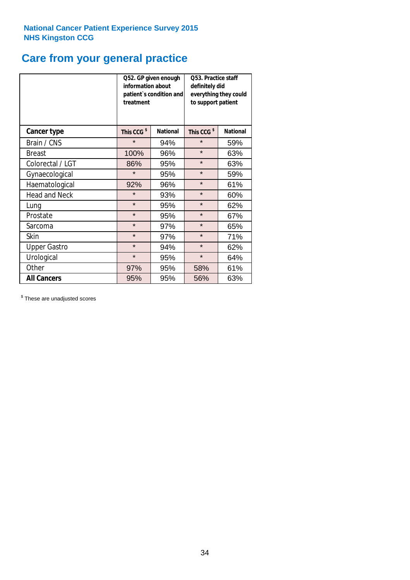# **Care from your general practice**

|                      | information about<br>treatment | Q52. GP given enough<br>patient's condition and | <b>O53. Practice staff</b><br>definitely did<br>everything they could<br>to support patient |                 |  |
|----------------------|--------------------------------|-------------------------------------------------|---------------------------------------------------------------------------------------------|-----------------|--|
| <b>Cancer type</b>   | This CCG <sup>\$</sup>         | <b>National</b>                                 | This CCG <sup>\$</sup>                                                                      | <b>National</b> |  |
| Brain / CNS          | $\star$                        | 94%                                             | $\star$                                                                                     | 59%             |  |
| <b>Breast</b>        | 100%                           | 96%                                             | $\star$                                                                                     | 63%             |  |
| Colorectal / LGT     | 86%                            | 95%                                             | $\star$                                                                                     | 63%             |  |
| Gynaecological       | $\star$<br>95%                 |                                                 | $\star$                                                                                     | 59%             |  |
| Haematological       | 92%                            | 96%                                             |                                                                                             | 61%             |  |
| <b>Head and Neck</b> | $\star$                        | 93%                                             | $\star$                                                                                     | 60%             |  |
| Lung                 | $\star$                        | 95%                                             | $\star$                                                                                     | 62%             |  |
| Prostate             | $\star$                        | 95%                                             | $\star$                                                                                     | 67%             |  |
| Sarcoma              | $\star$                        | 97%                                             | $\star$                                                                                     | 65%             |  |
| Skin                 | $\star$                        | 97%                                             | $\star$                                                                                     | 71%             |  |
| <b>Upper Gastro</b>  | $\star$                        | 94%                                             | $\star$                                                                                     | 62%             |  |
| Urological           | $\star$                        | 95%                                             | $\star$                                                                                     | 64%             |  |
| Other                | 97%                            | 95%                                             | 58%                                                                                         | 61%             |  |
| <b>All Cancers</b>   | 95%                            | 95%                                             | 56%                                                                                         | 63%             |  |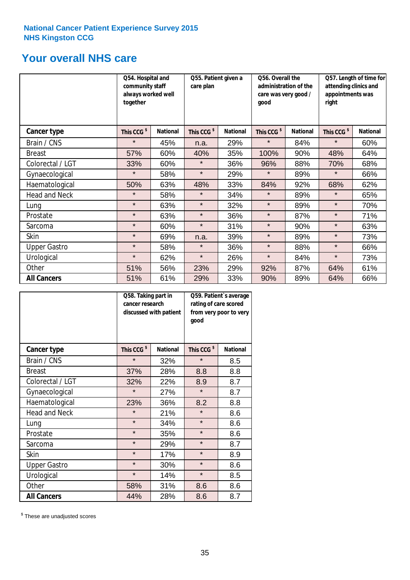### **Your overall NHS care**

|                      | Q54. Hospital and<br>community staff<br>always worked well<br>together |                 | care plan              | Q55. Patient given a<br>good |                        | Q56. Overall the<br>administration of the<br>care was very good / |                        | Q57. Length of time for<br>attending clinics and<br>appointments was<br>right |  |
|----------------------|------------------------------------------------------------------------|-----------------|------------------------|------------------------------|------------------------|-------------------------------------------------------------------|------------------------|-------------------------------------------------------------------------------|--|
| Cancer type          | This CCG <sup>\$</sup>                                                 | <b>National</b> | This CCG <sup>\$</sup> | <b>National</b>              | This CCG <sup>\$</sup> | <b>National</b>                                                   | This CCG <sup>\$</sup> | <b>National</b>                                                               |  |
| Brain / CNS          | $\star$                                                                | 45%             | n.a.                   | 29%                          | $\star$                | 84%                                                               | $\star$                | 60%                                                                           |  |
| <b>Breast</b>        | 57%                                                                    | 60%             | 40%                    | 35%                          | 100%                   | 90%                                                               | 48%                    | 64%                                                                           |  |
| Colorectal / LGT     | 33%                                                                    | 60%             | $\star$                | 36%                          | 96%                    | 88%                                                               | 70%                    | 68%                                                                           |  |
| Gynaecological       | $\star$                                                                | 58%             | $\star$                | 29%                          | $\star$                | 89%                                                               | $\star$                | 66%                                                                           |  |
| Haematological       | 50%                                                                    | 63%             | 48%                    | 33%                          | 84%                    | 92%                                                               | 68%                    | 62%                                                                           |  |
| <b>Head and Neck</b> | $\star$                                                                | 58%             | $\star$                | 34%                          | $\star$                | 89%                                                               | $\star$                | 65%                                                                           |  |
| Lung                 | $\star$                                                                | 63%             | $\star$                | 32%                          | $\star$                | 89%                                                               | $\star$                | 70%                                                                           |  |
| Prostate             | $\star$                                                                | 63%             | $\star$                | 36%                          | $\star$                | 87%                                                               | $\star$                | 71%                                                                           |  |
| Sarcoma              | $\star$                                                                | 60%             | $\star$                | 31%                          | $\star$                | 90%                                                               | $\star$                | 63%                                                                           |  |
| Skin                 | $\star$                                                                | 69%             | n.a.                   | 39%                          | $\star$                | 89%                                                               | $\star$                | 73%                                                                           |  |
| <b>Upper Gastro</b>  | $\star$                                                                | 58%             | $\star$                | 36%                          | $\star$                | 88%                                                               | $\star$                | 66%                                                                           |  |
| Urological           | $\star$                                                                | 62%             | $\star$                | 26%                          | $\star$                | 84%                                                               | $\star$                | 73%                                                                           |  |
| Other                | 51%                                                                    | 56%             | 23%                    | 29%                          | 92%                    | 87%                                                               | 64%                    | 61%                                                                           |  |
| <b>All Cancers</b>   | 51%                                                                    | 61%             | 29%                    | 33%                          | 90%                    | 89%                                                               | 64%                    | 66%                                                                           |  |

|                      | Q58. Taking part in<br>cancer research | discussed with patient | Q59. Patient's average<br>rating of care scored<br>from very poor to very<br>good |                 |  |
|----------------------|----------------------------------------|------------------------|-----------------------------------------------------------------------------------|-----------------|--|
| <b>Cancer type</b>   | This CCG <sup>\$</sup>                 | <b>National</b>        | This CCG <sup>\$</sup>                                                            | <b>National</b> |  |
| Brain / CNS          | $\star$                                | 32%                    | $\star$                                                                           | 8.5             |  |
| <b>Breast</b>        | 37%                                    | 28%                    | 8.8                                                                               | 8.8             |  |
| Colorectal / LGT     | 32%                                    | 22%                    | 8.9                                                                               | 8.7             |  |
| Gynaecological       | $\star$<br>27%                         |                        | $\star$                                                                           | 8.7             |  |
| Haematological       | 23%                                    | 36%                    | 8.2                                                                               | 8.8             |  |
| <b>Head and Neck</b> | $\star$                                | 21%                    | $\star$                                                                           | 8.6             |  |
| Lung                 | $\star$                                | 34%                    | $\star$                                                                           | 8.6             |  |
| Prostate             | $\star$                                | 35%                    | $\star$                                                                           | 8.6             |  |
| Sarcoma              | $\star$                                | 29%                    | $\star$                                                                           | 8.7             |  |
| Skin                 | $\star$                                | 17%                    | $\star$                                                                           | 8.9             |  |
| <b>Upper Gastro</b>  | $\star$                                | 30%                    | $\star$                                                                           | 8.6             |  |
| Urological           | $\star$                                | 14%                    | $\star$                                                                           | 8.5             |  |
| Other                | 58%                                    | 31%                    | 8.6                                                                               | 8.6             |  |
| <b>All Cancers</b>   | 44%                                    | 28%                    | 8.6                                                                               | 8.7             |  |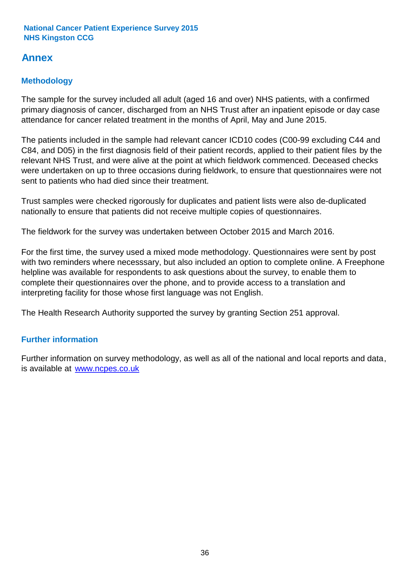### **Annex**

### **Methodology**

The sample for the survey included all adult (aged 16 and over) NHS patients, with a confirmed primary diagnosis of cancer, discharged from an NHS Trust after an inpatient episode or day case attendance for cancer related treatment in the months of April, May and June 2015.

The patients included in the sample had relevant cancer ICD10 codes (C00-99 excluding C44 and C84, and D05) in the first diagnosis field of their patient records, applied to their patient files by the relevant NHS Trust, and were alive at the point at which fieldwork commenced. Deceased checks were undertaken on up to three occasions during fieldwork, to ensure that questionnaires were not sent to patients who had died since their treatment.

Trust samples were checked rigorously for duplicates and patient lists were also de-duplicated nationally to ensure that patients did not receive multiple copies of questionnaires.

The fieldwork for the survey was undertaken between October 2015 and March 2016.

For the first time, the survey used a mixed mode methodology. Questionnaires were sent by post with two reminders where necesssary, but also included an option to complete online. A Freephone helpline was available for respondents to ask questions about the survey, to enable them to complete their questionnaires over the phone, and to provide access to a translation and interpreting facility for those whose first language was not English.

The Health Research Authority supported the survey by granting Section 251 approval.

#### **Further information**

Further information on survey methodology, as well as all of the national and local reports and data, is available at www.ncpes.co.uk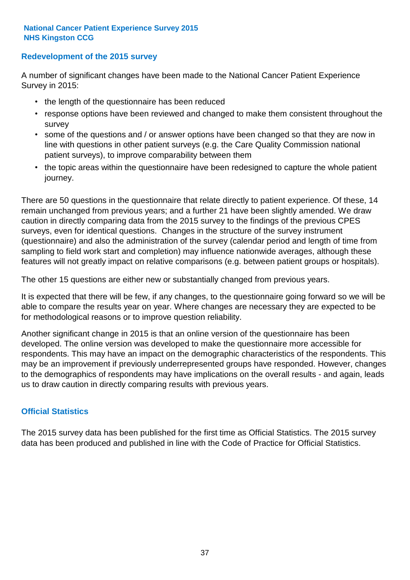#### **Redevelopment of the 2015 survey**

A number of significant changes have been made to the National Cancer Patient Experience Survey in 2015:

- the length of the questionnaire has been reduced
- response options have been reviewed and changed to make them consistent throughout the survey
- some of the questions and / or answer options have been changed so that they are now in line with questions in other patient surveys (e.g. the Care Quality Commission national patient surveys), to improve comparability between them
- the topic areas within the questionnaire have been redesigned to capture the whole patient journey.

There are 50 questions in the questionnaire that relate directly to patient experience. Of these, 14 remain unchanged from previous years; and a further 21 have been slightly amended. We draw caution in directly comparing data from the 2015 survey to the findings of the previous CPES surveys, even for identical questions. Changes in the structure of the survey instrument (questionnaire) and also the administration of the survey (calendar period and length of time from sampling to field work start and completion) may influence nationwide averages, although these features will not greatly impact on relative comparisons (e.g. between patient groups or hospitals).

The other 15 questions are either new or substantially changed from previous years.

It is expected that there will be few, if any changes, to the questionnaire going forward so we will be able to compare the results year on year. Where changes are necessary they are expected to be for methodological reasons or to improve question reliability.

Another significant change in 2015 is that an online version of the questionnaire has been developed. The online version was developed to make the questionnaire more accessible for respondents. This may have an impact on the demographic characteristics of the respondents. This may be an improvement if previously underrepresented groups have responded. However, changes to the demographics of respondents may have implications on the overall results - and again, leads us to draw caution in directly comparing results with previous years.

#### **Official Statistics**

The 2015 survey data has been published for the first time as Official Statistics. The 2015 survey data has been produced and published in line with the Code of Practice for Official Statistics.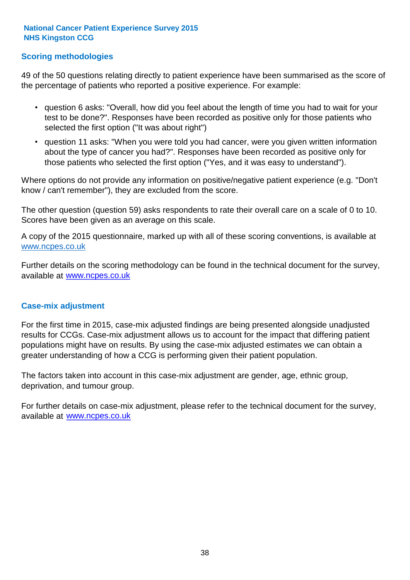#### **Scoring methodologies**

49 of the 50 questions relating directly to patient experience have been summarised as the score of the percentage of patients who reported a positive experience. For example:

- question 6 asks: "Overall, how did you feel about the length of time you had to wait for your test to be done?". Responses have been recorded as positive only for those patients who selected the first option ("It was about right")
- question 11 asks: "When you were told you had cancer, were you given written information about the type of cancer you had?". Responses have been recorded as positive only for those patients who selected the first option ("Yes, and it was easy to understand").

Where options do not provide any information on positive/negative patient experience (e.g. "Don't know / can't remember"), they are excluded from the score.

The other question (question 59) asks respondents to rate their overall care on a scale of 0 to 10. Scores have been given as an average on this scale.

A copy of the 2015 questionnaire, marked up with all of these scoring conventions, is available at www.ncpes.co.uk

Further details on the scoring methodology can be found in the technical document for the survey, available at <u>www.ncpes.co.uk</u>

#### **Case-mix adjustment**

For the first time in 2015, case-mix adjusted findings are being presented alongside unadjusted results for CCGs. Case-mix adjustment allows us to account for the impact that differing patient populations might have on results. By using the case-mix adjusted estimates we can obtain a greater understanding of how a CCG is performing given their patient population.

The factors taken into account in this case-mix adjustment are gender, age, ethnic group, deprivation, and tumour group.

For further details on case-mix adjustment, please refer to the technical document for the survey, available at www.ncpes.co.uk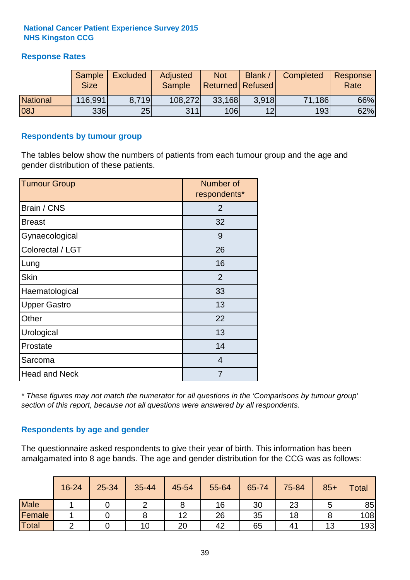#### **Response Rates**

|                 | Sample<br><b>Size</b> | <b>Excluded</b> | <b>Adjusted</b><br>Sample | <b>Not</b><br><b>Returned Refused</b> | Blank | Completed | Response<br>Rate |
|-----------------|-----------------------|-----------------|---------------------------|---------------------------------------|-------|-----------|------------------|
| <b>National</b> | 116,991               | 8.719           | 108,272                   | 33,168                                | 3.918 | 71,186    | 66%              |
| <b>08J</b>      | <b>336</b>            | 25              | 311                       | 106                                   | 12    | 193       | 62%              |

#### **Respondents by tumour group**

The tables below show the numbers of patients from each tumour group and the age and gender distribution of these patients.

| <b>Tumour Group</b>  | Number of<br>respondents* |  |  |  |
|----------------------|---------------------------|--|--|--|
| Brain / CNS          | 2                         |  |  |  |
| <b>Breast</b>        | 32                        |  |  |  |
| Gynaecological       | 9                         |  |  |  |
| Colorectal / LGT     | 26                        |  |  |  |
| Lung                 | 16                        |  |  |  |
| <b>Skin</b>          | 2                         |  |  |  |
| Haematological       | 33                        |  |  |  |
| <b>Upper Gastro</b>  | 13                        |  |  |  |
| Other                | 22                        |  |  |  |
| Urological           | 13                        |  |  |  |
| Prostate             | 14                        |  |  |  |
| Sarcoma              | $\overline{4}$            |  |  |  |
| <b>Head and Neck</b> | 7                         |  |  |  |

*\* These figures may not match the numerator for all questions in the 'Comparisons by tumour group' section of this report, because not all questions were answered by all respondents.*

#### **Respondents by age and gender**

The questionnaire asked respondents to give their year of birth. This information has been amalgamated into 8 age bands. The age and gender distribution for the CCG was as follows:

|             | 16-24 | 25-34 | 35-44 | 45-54 | 55-64 | 65-74 | 75-84          | $85+$ | <b>Total</b> |
|-------------|-------|-------|-------|-------|-------|-------|----------------|-------|--------------|
| <b>Male</b> |       |       |       |       | 16    | 30    | 23             |       | 85           |
| Female      |       |       |       | 12    | 26    | 35    | 18             |       | 108          |
| Total       |       |       | 10    | 20    | 42    | 65    | 4 <sup>1</sup> | 13    | 193          |